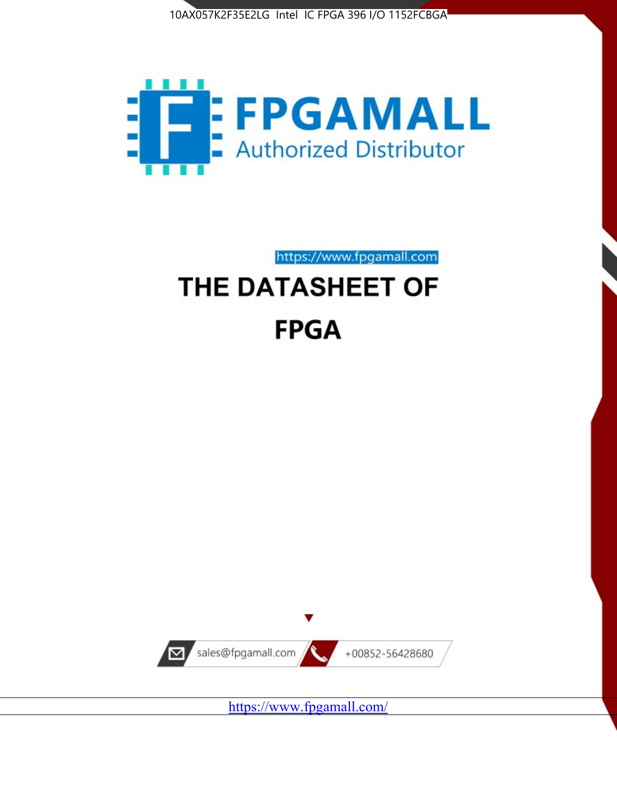



https://www.fpgamall.com

# THE DATASHEET OF **FPGA**



<https://www.fpgamall.com/>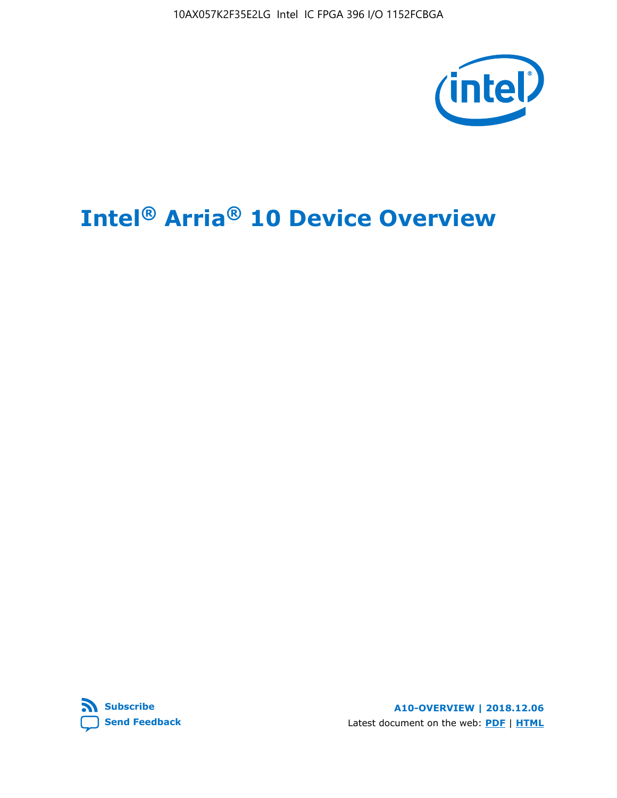10AX057K2F35E2LG Intel IC FPGA 396 I/O 1152FCBGA



# **Intel® Arria® 10 Device Overview**



**A10-OVERVIEW | 2018.12.06** Latest document on the web: **[PDF](https://www.intel.com/content/dam/www/programmable/us/en/pdfs/literature/hb/arria-10/a10_overview.pdf)** | **[HTML](https://www.intel.com/content/www/us/en/programmable/documentation/sam1403480274650.html)**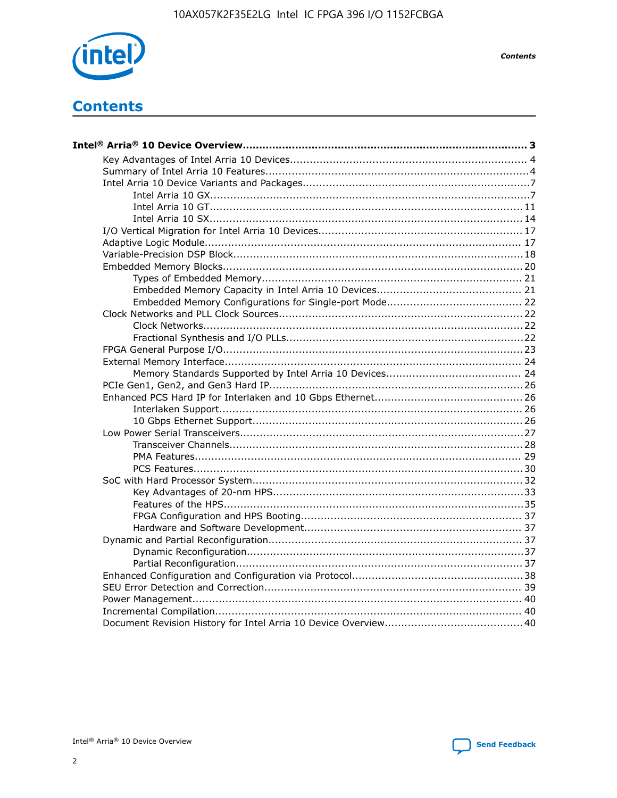

**Contents** 

# **Contents**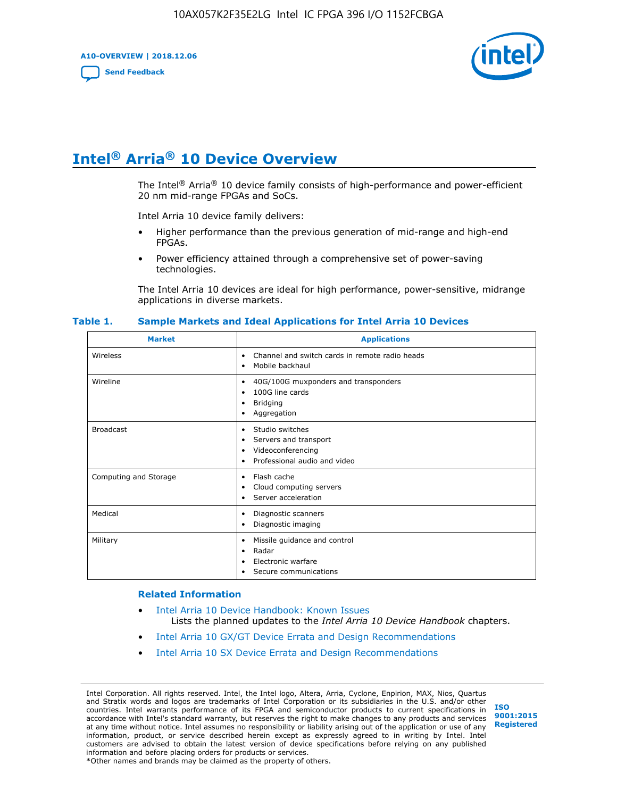**A10-OVERVIEW | 2018.12.06**

**[Send Feedback](mailto:FPGAtechdocfeedback@intel.com?subject=Feedback%20on%20Intel%20Arria%2010%20Device%20Overview%20(A10-OVERVIEW%202018.12.06)&body=We%20appreciate%20your%20feedback.%20In%20your%20comments,%20also%20specify%20the%20page%20number%20or%20paragraph.%20Thank%20you.)**



# **Intel® Arria® 10 Device Overview**

The Intel<sup>®</sup> Arria<sup>®</sup> 10 device family consists of high-performance and power-efficient 20 nm mid-range FPGAs and SoCs.

Intel Arria 10 device family delivers:

- Higher performance than the previous generation of mid-range and high-end FPGAs.
- Power efficiency attained through a comprehensive set of power-saving technologies.

The Intel Arria 10 devices are ideal for high performance, power-sensitive, midrange applications in diverse markets.

| <b>Market</b>         | <b>Applications</b>                                                                                               |
|-----------------------|-------------------------------------------------------------------------------------------------------------------|
| Wireless              | Channel and switch cards in remote radio heads<br>٠<br>Mobile backhaul<br>٠                                       |
| Wireline              | 40G/100G muxponders and transponders<br>٠<br>100G line cards<br>٠<br><b>Bridging</b><br>٠<br>Aggregation<br>٠     |
| <b>Broadcast</b>      | Studio switches<br>٠<br>Servers and transport<br>٠<br>Videoconferencing<br>٠<br>Professional audio and video<br>٠ |
| Computing and Storage | Flash cache<br>٠<br>Cloud computing servers<br>٠<br>Server acceleration<br>٠                                      |
| Medical               | Diagnostic scanners<br>٠<br>Diagnostic imaging<br>٠                                                               |
| Military              | Missile guidance and control<br>٠<br>Radar<br>٠<br>Electronic warfare<br>٠<br>Secure communications<br>٠          |

#### **Table 1. Sample Markets and Ideal Applications for Intel Arria 10 Devices**

#### **Related Information**

- [Intel Arria 10 Device Handbook: Known Issues](http://www.altera.com/support/kdb/solutions/rd07302013_646.html) Lists the planned updates to the *Intel Arria 10 Device Handbook* chapters.
- [Intel Arria 10 GX/GT Device Errata and Design Recommendations](https://www.intel.com/content/www/us/en/programmable/documentation/agz1493851706374.html#yqz1494433888646)
- [Intel Arria 10 SX Device Errata and Design Recommendations](https://www.intel.com/content/www/us/en/programmable/documentation/cru1462832385668.html#cru1462832558642)

Intel Corporation. All rights reserved. Intel, the Intel logo, Altera, Arria, Cyclone, Enpirion, MAX, Nios, Quartus and Stratix words and logos are trademarks of Intel Corporation or its subsidiaries in the U.S. and/or other countries. Intel warrants performance of its FPGA and semiconductor products to current specifications in accordance with Intel's standard warranty, but reserves the right to make changes to any products and services at any time without notice. Intel assumes no responsibility or liability arising out of the application or use of any information, product, or service described herein except as expressly agreed to in writing by Intel. Intel customers are advised to obtain the latest version of device specifications before relying on any published information and before placing orders for products or services. \*Other names and brands may be claimed as the property of others.

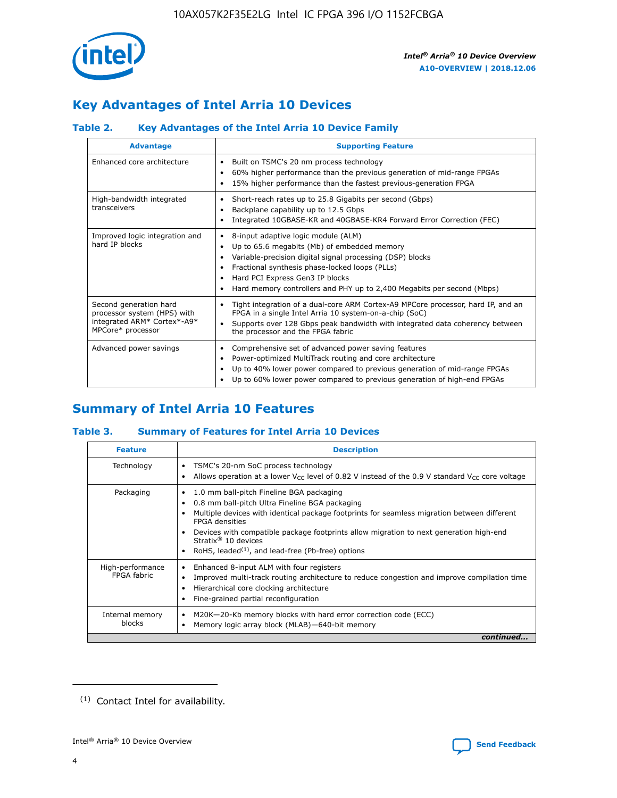

## **Key Advantages of Intel Arria 10 Devices**

## **Table 2. Key Advantages of the Intel Arria 10 Device Family**

| <b>Advantage</b>                                                                                          | <b>Supporting Feature</b>                                                                                                                                                                                                                                                                                                |  |  |  |  |  |
|-----------------------------------------------------------------------------------------------------------|--------------------------------------------------------------------------------------------------------------------------------------------------------------------------------------------------------------------------------------------------------------------------------------------------------------------------|--|--|--|--|--|
| Enhanced core architecture                                                                                | Built on TSMC's 20 nm process technology<br>٠<br>60% higher performance than the previous generation of mid-range FPGAs<br>٠<br>15% higher performance than the fastest previous-generation FPGA<br>٠                                                                                                                    |  |  |  |  |  |
| High-bandwidth integrated<br>transceivers                                                                 | Short-reach rates up to 25.8 Gigabits per second (Gbps)<br>٠<br>Backplane capability up to 12.5 Gbps<br>٠<br>Integrated 10GBASE-KR and 40GBASE-KR4 Forward Error Correction (FEC)<br>٠                                                                                                                                   |  |  |  |  |  |
| Improved logic integration and<br>hard IP blocks                                                          | 8-input adaptive logic module (ALM)<br>٠<br>Up to 65.6 megabits (Mb) of embedded memory<br>٠<br>Variable-precision digital signal processing (DSP) blocks<br>Fractional synthesis phase-locked loops (PLLs)<br>Hard PCI Express Gen3 IP blocks<br>Hard memory controllers and PHY up to 2,400 Megabits per second (Mbps) |  |  |  |  |  |
| Second generation hard<br>processor system (HPS) with<br>integrated ARM* Cortex*-A9*<br>MPCore* processor | Tight integration of a dual-core ARM Cortex-A9 MPCore processor, hard IP, and an<br>٠<br>FPGA in a single Intel Arria 10 system-on-a-chip (SoC)<br>Supports over 128 Gbps peak bandwidth with integrated data coherency between<br>$\bullet$<br>the processor and the FPGA fabric                                        |  |  |  |  |  |
| Advanced power savings                                                                                    | Comprehensive set of advanced power saving features<br>٠<br>Power-optimized MultiTrack routing and core architecture<br>٠<br>Up to 40% lower power compared to previous generation of mid-range FPGAs<br>Up to 60% lower power compared to previous generation of high-end FPGAs                                         |  |  |  |  |  |

## **Summary of Intel Arria 10 Features**

## **Table 3. Summary of Features for Intel Arria 10 Devices**

| <b>Feature</b>                  | <b>Description</b>                                                                                                                                                                                                                                                                                                                                                                                 |
|---------------------------------|----------------------------------------------------------------------------------------------------------------------------------------------------------------------------------------------------------------------------------------------------------------------------------------------------------------------------------------------------------------------------------------------------|
| Technology                      | TSMC's 20-nm SoC process technology<br>Allows operation at a lower $V_{\text{CC}}$ level of 0.82 V instead of the 0.9 V standard $V_{\text{CC}}$ core voltage                                                                                                                                                                                                                                      |
| Packaging                       | 1.0 mm ball-pitch Fineline BGA packaging<br>٠<br>0.8 mm ball-pitch Ultra Fineline BGA packaging<br>Multiple devices with identical package footprints for seamless migration between different<br><b>FPGA</b> densities<br>Devices with compatible package footprints allow migration to next generation high-end<br>Stratix $@10$ devices<br>RoHS, leaded $(1)$ , and lead-free (Pb-free) options |
| High-performance<br>FPGA fabric | Enhanced 8-input ALM with four registers<br>Improved multi-track routing architecture to reduce congestion and improve compilation time<br>Hierarchical core clocking architecture<br>Fine-grained partial reconfiguration                                                                                                                                                                         |
| Internal memory<br>blocks       | M20K-20-Kb memory blocks with hard error correction code (ECC)<br>Memory logic array block (MLAB)-640-bit memory                                                                                                                                                                                                                                                                                   |
|                                 | continued                                                                                                                                                                                                                                                                                                                                                                                          |



<sup>(1)</sup> Contact Intel for availability.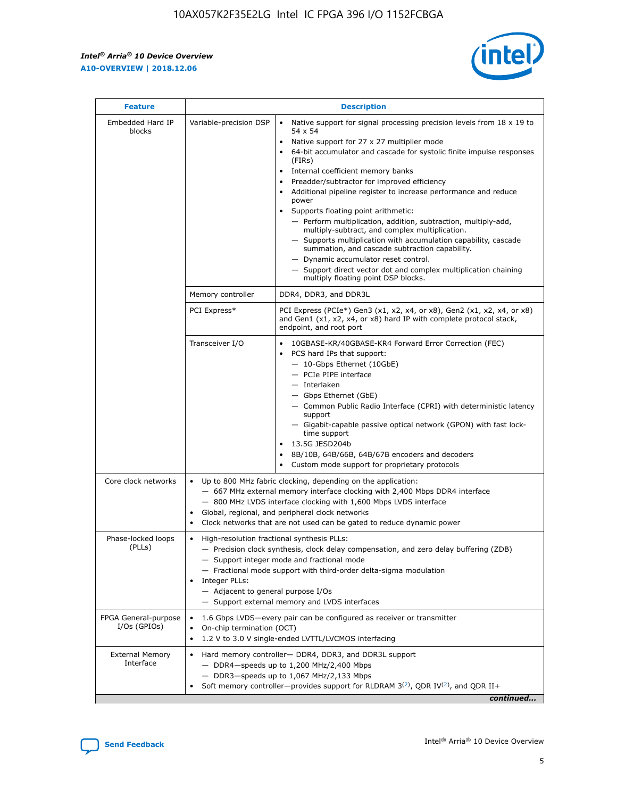$\mathbf{r}$ 



| <b>Feature</b>                         |                                                                                                        | <b>Description</b>                                                                                                                                                                                                                                                                                                                                                                                                                                                                                                                                                                                                                                                                                                                                                                                                                                                            |  |  |  |  |  |  |
|----------------------------------------|--------------------------------------------------------------------------------------------------------|-------------------------------------------------------------------------------------------------------------------------------------------------------------------------------------------------------------------------------------------------------------------------------------------------------------------------------------------------------------------------------------------------------------------------------------------------------------------------------------------------------------------------------------------------------------------------------------------------------------------------------------------------------------------------------------------------------------------------------------------------------------------------------------------------------------------------------------------------------------------------------|--|--|--|--|--|--|
| Embedded Hard IP<br>blocks             | Variable-precision DSP                                                                                 | Native support for signal processing precision levels from $18 \times 19$ to<br>$\bullet$<br>54 x 54<br>Native support for 27 x 27 multiplier mode<br>$\bullet$<br>64-bit accumulator and cascade for systolic finite impulse responses<br>$\bullet$<br>(FIRs)<br>Internal coefficient memory banks<br>$\bullet$<br>Preadder/subtractor for improved efficiency<br>Additional pipeline register to increase performance and reduce<br>power<br>Supports floating point arithmetic:<br>- Perform multiplication, addition, subtraction, multiply-add,<br>multiply-subtract, and complex multiplication.<br>- Supports multiplication with accumulation capability, cascade<br>summation, and cascade subtraction capability.<br>- Dynamic accumulator reset control.<br>- Support direct vector dot and complex multiplication chaining<br>multiply floating point DSP blocks. |  |  |  |  |  |  |
|                                        | Memory controller                                                                                      | DDR4, DDR3, and DDR3L                                                                                                                                                                                                                                                                                                                                                                                                                                                                                                                                                                                                                                                                                                                                                                                                                                                         |  |  |  |  |  |  |
|                                        | PCI Express*                                                                                           | PCI Express (PCIe*) Gen3 (x1, x2, x4, or x8), Gen2 (x1, x2, x4, or x8)<br>and Gen1 (x1, x2, x4, or x8) hard IP with complete protocol stack,<br>endpoint, and root port                                                                                                                                                                                                                                                                                                                                                                                                                                                                                                                                                                                                                                                                                                       |  |  |  |  |  |  |
|                                        | Transceiver I/O                                                                                        | 10GBASE-KR/40GBASE-KR4 Forward Error Correction (FEC)<br>PCS hard IPs that support:<br>٠<br>- 10-Gbps Ethernet (10GbE)<br>- PCIe PIPE interface<br>- Interlaken<br>- Gbps Ethernet (GbE)<br>- Common Public Radio Interface (CPRI) with deterministic latency<br>support<br>- Gigabit-capable passive optical network (GPON) with fast lock-<br>time support<br>13.5G JESD204b<br>$\bullet$<br>8B/10B, 64B/66B, 64B/67B encoders and decoders<br>$\bullet$<br>Custom mode support for proprietary protocols                                                                                                                                                                                                                                                                                                                                                                   |  |  |  |  |  |  |
| Core clock networks                    | $\bullet$                                                                                              | Up to 800 MHz fabric clocking, depending on the application:<br>- 667 MHz external memory interface clocking with 2,400 Mbps DDR4 interface<br>- 800 MHz LVDS interface clocking with 1,600 Mbps LVDS interface<br>Global, regional, and peripheral clock networks<br>Clock networks that are not used can be gated to reduce dynamic power                                                                                                                                                                                                                                                                                                                                                                                                                                                                                                                                   |  |  |  |  |  |  |
| Phase-locked loops<br>(PLLs)           | High-resolution fractional synthesis PLLs:<br>٠<br>Integer PLLs:<br>- Adjacent to general purpose I/Os | - Precision clock synthesis, clock delay compensation, and zero delay buffering (ZDB)<br>- Support integer mode and fractional mode<br>- Fractional mode support with third-order delta-sigma modulation<br>- Support external memory and LVDS interfaces                                                                                                                                                                                                                                                                                                                                                                                                                                                                                                                                                                                                                     |  |  |  |  |  |  |
| FPGA General-purpose<br>$I/Os$ (GPIOs) | On-chip termination (OCT)<br>٠                                                                         | 1.6 Gbps LVDS-every pair can be configured as receiver or transmitter                                                                                                                                                                                                                                                                                                                                                                                                                                                                                                                                                                                                                                                                                                                                                                                                         |  |  |  |  |  |  |
| <b>External Memory</b><br>Interface    | $\bullet$                                                                                              | 1.2 V to 3.0 V single-ended LVTTL/LVCMOS interfacing<br>Hard memory controller- DDR4, DDR3, and DDR3L support<br>$-$ DDR4 $-$ speeds up to 1,200 MHz/2,400 Mbps<br>- DDR3-speeds up to 1,067 MHz/2,133 Mbps<br>Soft memory controller—provides support for RLDRAM $3^{(2)}$ , QDR IV $^{(2)}$ , and QDR II+<br>continued                                                                                                                                                                                                                                                                                                                                                                                                                                                                                                                                                      |  |  |  |  |  |  |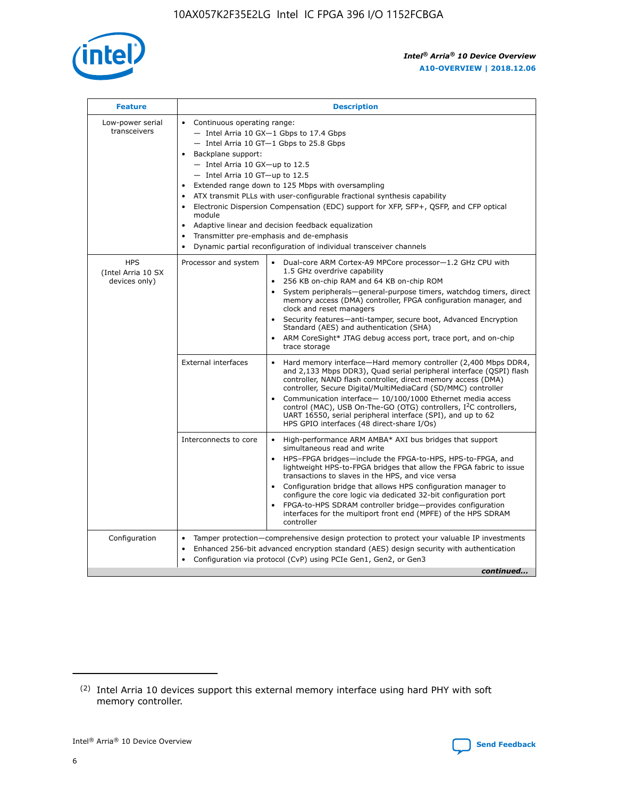

| <b>Feature</b>                                    | <b>Description</b>                                                                                                                                                                                                                                                                                                                                                                                                                                                                                                                                                                                                                         |
|---------------------------------------------------|--------------------------------------------------------------------------------------------------------------------------------------------------------------------------------------------------------------------------------------------------------------------------------------------------------------------------------------------------------------------------------------------------------------------------------------------------------------------------------------------------------------------------------------------------------------------------------------------------------------------------------------------|
| Low-power serial<br>transceivers                  | • Continuous operating range:<br>- Intel Arria 10 GX-1 Gbps to 17.4 Gbps<br>- Intel Arria 10 GT-1 Gbps to 25.8 Gbps<br>Backplane support:<br>$-$ Intel Arria 10 GX-up to 12.5<br>- Intel Arria 10 GT-up to 12.5<br>Extended range down to 125 Mbps with oversampling<br>ATX transmit PLLs with user-configurable fractional synthesis capability<br>Electronic Dispersion Compensation (EDC) support for XFP, SFP+, QSFP, and CFP optical<br>module<br>• Adaptive linear and decision feedback equalization<br>Transmitter pre-emphasis and de-emphasis<br>$\bullet$<br>Dynamic partial reconfiguration of individual transceiver channels |
| <b>HPS</b><br>(Intel Arria 10 SX<br>devices only) | Dual-core ARM Cortex-A9 MPCore processor-1.2 GHz CPU with<br>Processor and system<br>$\bullet$<br>1.5 GHz overdrive capability<br>256 KB on-chip RAM and 64 KB on-chip ROM<br>System peripherals-general-purpose timers, watchdog timers, direct<br>memory access (DMA) controller, FPGA configuration manager, and<br>clock and reset managers<br>Security features-anti-tamper, secure boot, Advanced Encryption<br>$\bullet$<br>Standard (AES) and authentication (SHA)<br>ARM CoreSight* JTAG debug access port, trace port, and on-chip<br>trace storage                                                                              |
|                                                   | <b>External interfaces</b><br>Hard memory interface-Hard memory controller (2,400 Mbps DDR4,<br>$\bullet$<br>and 2,133 Mbps DDR3), Quad serial peripheral interface (QSPI) flash<br>controller, NAND flash controller, direct memory access (DMA)<br>controller, Secure Digital/MultiMediaCard (SD/MMC) controller<br>Communication interface-10/100/1000 Ethernet media access<br>$\bullet$<br>control (MAC), USB On-The-GO (OTG) controllers, I <sup>2</sup> C controllers,<br>UART 16550, serial peripheral interface (SPI), and up to 62<br>HPS GPIO interfaces (48 direct-share I/Os)                                                 |
|                                                   | High-performance ARM AMBA* AXI bus bridges that support<br>Interconnects to core<br>$\bullet$<br>simultaneous read and write<br>HPS-FPGA bridges-include the FPGA-to-HPS, HPS-to-FPGA, and<br>$\bullet$<br>lightweight HPS-to-FPGA bridges that allow the FPGA fabric to issue<br>transactions to slaves in the HPS, and vice versa<br>Configuration bridge that allows HPS configuration manager to<br>configure the core logic via dedicated 32-bit configuration port<br>FPGA-to-HPS SDRAM controller bridge-provides configuration<br>interfaces for the multiport front end (MPFE) of the HPS SDRAM<br>controller                     |
| Configuration                                     | Tamper protection—comprehensive design protection to protect your valuable IP investments<br>Enhanced 256-bit advanced encryption standard (AES) design security with authentication<br>٠<br>Configuration via protocol (CvP) using PCIe Gen1, Gen2, or Gen3<br>continued                                                                                                                                                                                                                                                                                                                                                                  |

<sup>(2)</sup> Intel Arria 10 devices support this external memory interface using hard PHY with soft memory controller.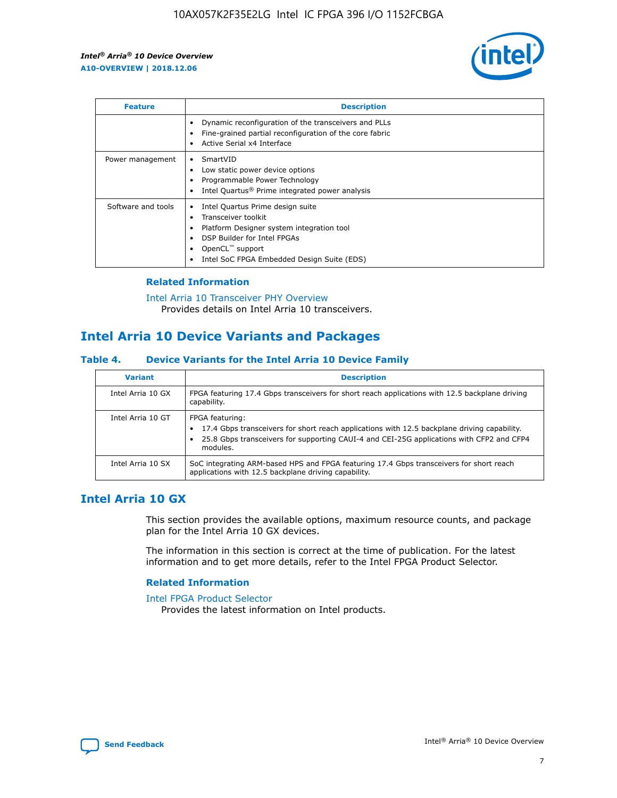

| <b>Feature</b>     | <b>Description</b>                                                                                                                                                                                               |
|--------------------|------------------------------------------------------------------------------------------------------------------------------------------------------------------------------------------------------------------|
|                    | Dynamic reconfiguration of the transceivers and PLLs<br>Fine-grained partial reconfiguration of the core fabric<br>Active Serial x4 Interface<br>$\bullet$                                                       |
| Power management   | SmartVID<br>Low static power device options<br>Programmable Power Technology<br>Intel Quartus <sup>®</sup> Prime integrated power analysis                                                                       |
| Software and tools | Intel Quartus Prime design suite<br>Transceiver toolkit<br>Platform Designer system integration tool<br>DSP Builder for Intel FPGAs<br>OpenCL <sup>™</sup> support<br>Intel SoC FPGA Embedded Design Suite (EDS) |

## **Related Information**

[Intel Arria 10 Transceiver PHY Overview](https://www.intel.com/content/www/us/en/programmable/documentation/nik1398707230472.html#nik1398706768037) Provides details on Intel Arria 10 transceivers.

## **Intel Arria 10 Device Variants and Packages**

#### **Table 4. Device Variants for the Intel Arria 10 Device Family**

| <b>Variant</b>    | <b>Description</b>                                                                                                                                                                                                     |
|-------------------|------------------------------------------------------------------------------------------------------------------------------------------------------------------------------------------------------------------------|
| Intel Arria 10 GX | FPGA featuring 17.4 Gbps transceivers for short reach applications with 12.5 backplane driving<br>capability.                                                                                                          |
| Intel Arria 10 GT | FPGA featuring:<br>17.4 Gbps transceivers for short reach applications with 12.5 backplane driving capability.<br>25.8 Gbps transceivers for supporting CAUI-4 and CEI-25G applications with CFP2 and CFP4<br>modules. |
| Intel Arria 10 SX | SoC integrating ARM-based HPS and FPGA featuring 17.4 Gbps transceivers for short reach<br>applications with 12.5 backplane driving capability.                                                                        |

## **Intel Arria 10 GX**

This section provides the available options, maximum resource counts, and package plan for the Intel Arria 10 GX devices.

The information in this section is correct at the time of publication. For the latest information and to get more details, refer to the Intel FPGA Product Selector.

#### **Related Information**

#### [Intel FPGA Product Selector](http://www.altera.com/products/selector/psg-selector.html) Provides the latest information on Intel products.

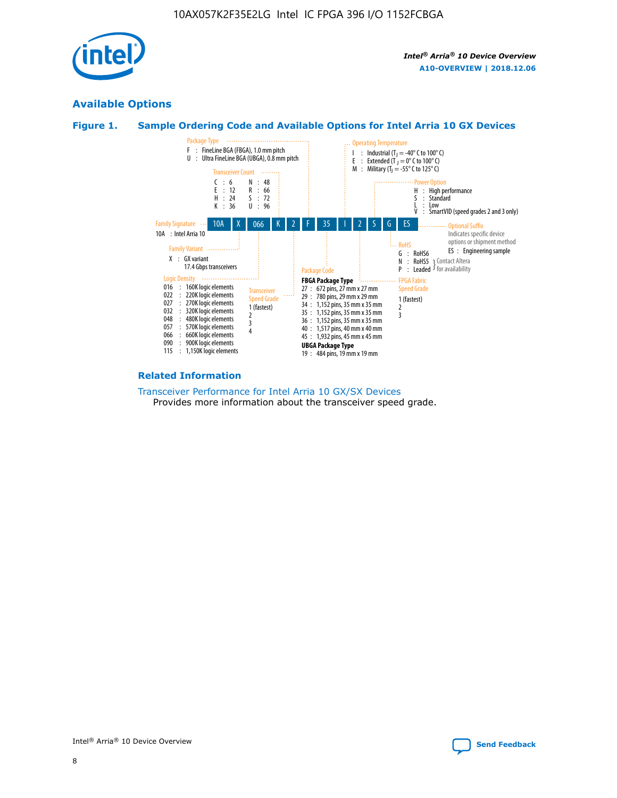

## **Available Options**





#### **Related Information**

[Transceiver Performance for Intel Arria 10 GX/SX Devices](https://www.intel.com/content/www/us/en/programmable/documentation/mcn1413182292568.html#mcn1413213965502) Provides more information about the transceiver speed grade.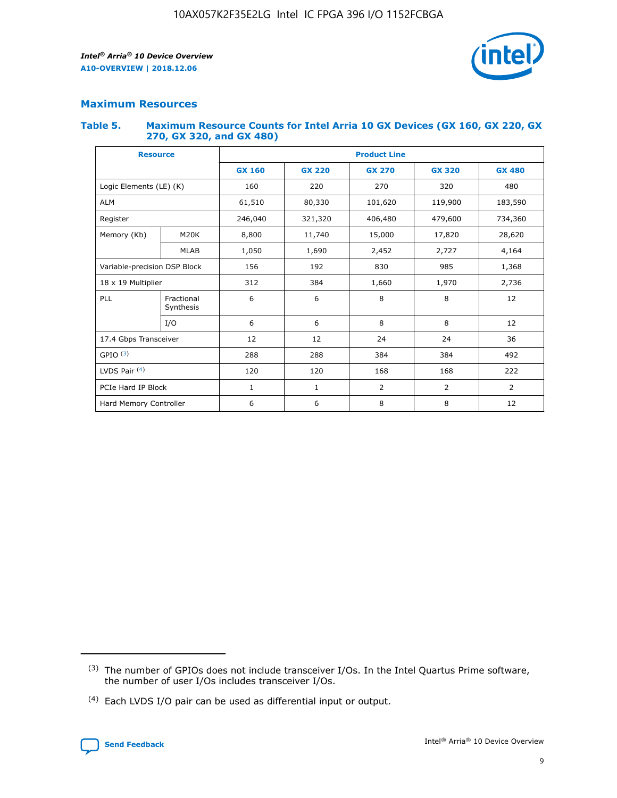

## **Maximum Resources**

#### **Table 5. Maximum Resource Counts for Intel Arria 10 GX Devices (GX 160, GX 220, GX 270, GX 320, and GX 480)**

| <b>Resource</b>         |                              | <b>Product Line</b> |                                                 |                    |                |                |  |  |
|-------------------------|------------------------------|---------------------|-------------------------------------------------|--------------------|----------------|----------------|--|--|
|                         |                              | <b>GX 160</b>       | <b>GX 220</b><br><b>GX 270</b><br><b>GX 320</b> |                    |                | <b>GX 480</b>  |  |  |
| Logic Elements (LE) (K) |                              | 160                 | 220                                             | 270                | 320            | 480            |  |  |
| <b>ALM</b>              |                              | 61,510              | 80,330                                          | 101,620            | 119,900        | 183,590        |  |  |
| Register                |                              | 246,040             | 321,320                                         | 406,480<br>479,600 |                | 734,360        |  |  |
| Memory (Kb)             | M <sub>20</sub> K            | 8,800               | 11,740                                          | 15,000             | 17,820         | 28,620         |  |  |
|                         | <b>MLAB</b>                  | 1,050               | 1,690                                           | 2,452              | 2,727          | 4,164          |  |  |
|                         | Variable-precision DSP Block |                     | 192<br>830<br>985                               |                    |                | 1,368          |  |  |
| 18 x 19 Multiplier      |                              | 312                 | 384                                             | 1,970<br>1,660     |                | 2,736          |  |  |
| PLL                     | Fractional<br>Synthesis      | 6                   | 6                                               | 8                  | 8              | 12             |  |  |
|                         | I/O                          | 6                   | 6                                               | 8                  | 8              | 12             |  |  |
| 17.4 Gbps Transceiver   |                              | 12                  | 12                                              | 24                 | 24             | 36             |  |  |
| GPIO <sup>(3)</sup>     |                              | 288                 | 288                                             | 384<br>384         |                | 492            |  |  |
| LVDS Pair $(4)$         |                              | 120                 | 120                                             | 168                | 168            | 222            |  |  |
| PCIe Hard IP Block      |                              | 1                   | 1                                               | 2                  | $\overline{2}$ | $\overline{2}$ |  |  |
| Hard Memory Controller  |                              | 6                   | 6                                               | 8                  | 8              | 12             |  |  |

<sup>(4)</sup> Each LVDS I/O pair can be used as differential input or output.



<sup>(3)</sup> The number of GPIOs does not include transceiver I/Os. In the Intel Quartus Prime software, the number of user I/Os includes transceiver I/Os.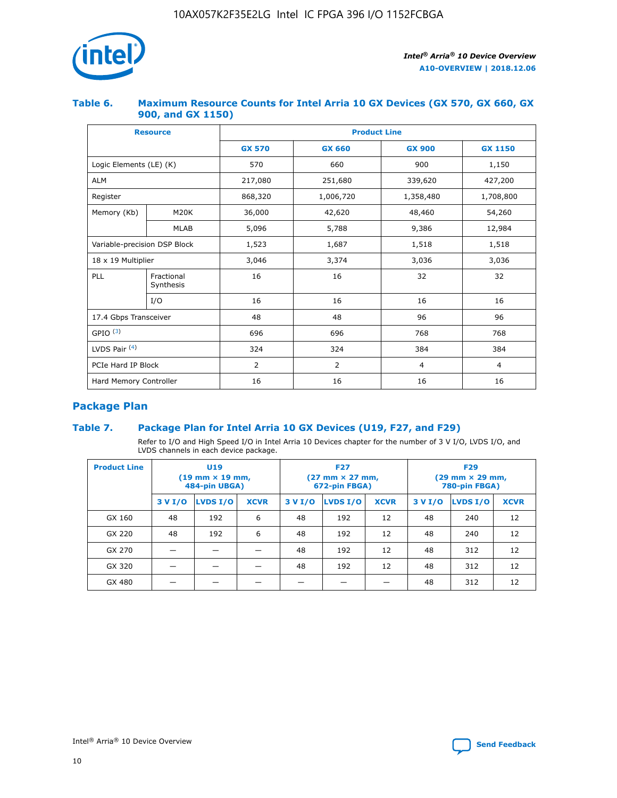

## **Table 6. Maximum Resource Counts for Intel Arria 10 GX Devices (GX 570, GX 660, GX 900, and GX 1150)**

|                              | <b>Resource</b>         | <b>Product Line</b> |                |                |                |  |  |  |
|------------------------------|-------------------------|---------------------|----------------|----------------|----------------|--|--|--|
|                              |                         | <b>GX 570</b>       | <b>GX 660</b>  | <b>GX 900</b>  | <b>GX 1150</b> |  |  |  |
| Logic Elements (LE) (K)      |                         | 570                 | 660            | 900            | 1,150          |  |  |  |
| <b>ALM</b>                   |                         | 217,080             | 251,680        | 339,620        | 427,200        |  |  |  |
| Register                     |                         | 868,320             | 1,006,720      | 1,358,480      | 1,708,800      |  |  |  |
| Memory (Kb)                  | <b>M20K</b>             | 36,000              | 42,620         | 48,460         | 54,260         |  |  |  |
|                              | <b>MLAB</b>             | 5,096               | 5,788          | 9,386          | 12,984         |  |  |  |
| Variable-precision DSP Block |                         | 1,523               | 1,687          | 1,518          | 1,518          |  |  |  |
| $18 \times 19$ Multiplier    |                         | 3,046               | 3,374          | 3,036          | 3,036          |  |  |  |
| PLL                          | Fractional<br>Synthesis | 16                  | 16             | 32             | 32             |  |  |  |
|                              | I/O                     | 16                  | 16             | 16             | 16             |  |  |  |
| 17.4 Gbps Transceiver        |                         | 48                  | 48             | 96             | 96             |  |  |  |
| GPIO <sup>(3)</sup>          |                         | 696                 | 696            | 768            | 768            |  |  |  |
| LVDS Pair $(4)$              |                         | 324                 | 324            | 384            | 384            |  |  |  |
| PCIe Hard IP Block           |                         | 2                   | $\overline{2}$ | $\overline{4}$ | $\overline{4}$ |  |  |  |
| Hard Memory Controller       |                         | 16                  | 16             |                | 16             |  |  |  |

## **Package Plan**

## **Table 7. Package Plan for Intel Arria 10 GX Devices (U19, F27, and F29)**

Refer to I/O and High Speed I/O in Intel Arria 10 Devices chapter for the number of 3 V I/O, LVDS I/O, and LVDS channels in each device package.

| <b>Product Line</b> | U <sub>19</sub><br>$(19 \text{ mm} \times 19 \text{ mm})$<br>484-pin UBGA) |          |             |         | <b>F27</b><br>(27 mm × 27 mm,<br>672-pin FBGA) |             | <b>F29</b><br>(29 mm × 29 mm,<br>780-pin FBGA) |          |             |  |
|---------------------|----------------------------------------------------------------------------|----------|-------------|---------|------------------------------------------------|-------------|------------------------------------------------|----------|-------------|--|
|                     | 3 V I/O                                                                    | LVDS I/O | <b>XCVR</b> | 3 V I/O | <b>LVDS I/O</b>                                | <b>XCVR</b> | 3 V I/O                                        | LVDS I/O | <b>XCVR</b> |  |
| GX 160              | 48                                                                         | 192      | 6           | 48      | 192                                            | 12          | 48                                             | 240      | 12          |  |
| GX 220              | 48                                                                         | 192      | 6           | 48      | 192                                            | 12          | 48                                             | 240      | 12          |  |
| GX 270              |                                                                            |          |             | 48      | 192                                            | 12          | 48                                             | 312      | 12          |  |
| GX 320              |                                                                            |          |             | 48      | 192                                            | 12          | 48                                             | 312      | 12          |  |
| GX 480              |                                                                            |          |             |         |                                                |             | 48                                             | 312      | 12          |  |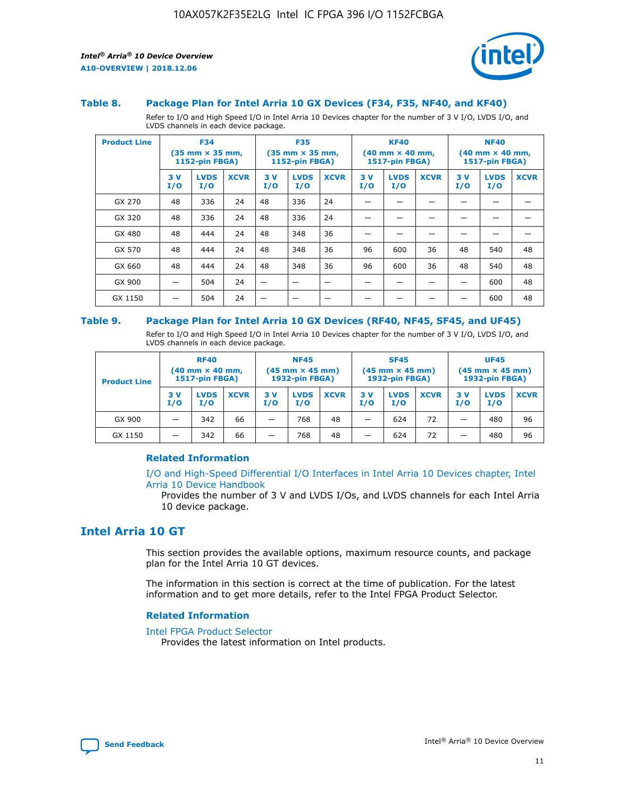

#### **Table 8. Package Plan for Intel Arria 10 GX Devices (F34, F35, NF40, and KF40)**

Refer to I/O and High Speed I/O in Intel Arria 10 Devices chapter for the number of 3 V I/O, LVDS I/O, and LVDS channels in each device package.

| <b>Product Line</b> | <b>F34</b><br>$(35 \text{ mm} \times 35 \text{ mm})$<br><b>1152-pin FBGA)</b> |                    | <b>F35</b><br>$(35 \text{ mm} \times 35 \text{ mm})$<br><b>1152-pin FBGA)</b> |           | <b>KF40</b><br>$(40$ mm $\times$ 40 mm,<br>1517-pin FBGA) |             |           | <b>NF40</b><br>$(40 \text{ mm} \times 40 \text{ mm})$<br>1517-pin FBGA) |             |           |                    |             |
|---------------------|-------------------------------------------------------------------------------|--------------------|-------------------------------------------------------------------------------|-----------|-----------------------------------------------------------|-------------|-----------|-------------------------------------------------------------------------|-------------|-----------|--------------------|-------------|
|                     | 3V<br>I/O                                                                     | <b>LVDS</b><br>I/O | <b>XCVR</b>                                                                   | 3V<br>I/O | <b>LVDS</b><br>I/O                                        | <b>XCVR</b> | 3V<br>I/O | <b>LVDS</b><br>I/O                                                      | <b>XCVR</b> | 3V<br>I/O | <b>LVDS</b><br>I/O | <b>XCVR</b> |
| GX 270              | 48                                                                            | 336                | 24                                                                            | 48        | 336                                                       | 24          |           |                                                                         |             |           |                    |             |
| GX 320              | 48                                                                            | 336                | 24                                                                            | 48        | 336                                                       | 24          |           |                                                                         |             |           |                    |             |
| GX 480              | 48                                                                            | 444                | 24                                                                            | 48        | 348                                                       | 36          |           |                                                                         |             |           |                    |             |
| GX 570              | 48                                                                            | 444                | 24                                                                            | 48        | 348                                                       | 36          | 96        | 600                                                                     | 36          | 48        | 540                | 48          |
| GX 660              | 48                                                                            | 444                | 24                                                                            | 48        | 348                                                       | 36          | 96        | 600                                                                     | 36          | 48        | 540                | 48          |
| GX 900              |                                                                               | 504                | 24                                                                            | —         |                                                           | -           |           |                                                                         |             |           | 600                | 48          |
| GX 1150             |                                                                               | 504                | 24                                                                            |           |                                                           |             |           |                                                                         |             |           | 600                | 48          |

#### **Table 9. Package Plan for Intel Arria 10 GX Devices (RF40, NF45, SF45, and UF45)**

Refer to I/O and High Speed I/O in Intel Arria 10 Devices chapter for the number of 3 V I/O, LVDS I/O, and LVDS channels in each device package.

| <b>Product Line</b> | <b>RF40</b><br>$(40$ mm $\times$ 40 mm,<br>1517-pin FBGA) |                    | <b>NF45</b><br>$(45 \text{ mm} \times 45 \text{ mm})$<br><b>1932-pin FBGA)</b> |            |                    | <b>SF45</b><br>$(45 \text{ mm} \times 45 \text{ mm})$<br><b>1932-pin FBGA)</b> |            |                    | <b>UF45</b><br>$(45 \text{ mm} \times 45 \text{ mm})$<br><b>1932-pin FBGA)</b> |           |                    |             |
|---------------------|-----------------------------------------------------------|--------------------|--------------------------------------------------------------------------------|------------|--------------------|--------------------------------------------------------------------------------|------------|--------------------|--------------------------------------------------------------------------------|-----------|--------------------|-------------|
|                     | 3V<br>I/O                                                 | <b>LVDS</b><br>I/O | <b>XCVR</b>                                                                    | 3 V<br>I/O | <b>LVDS</b><br>I/O | <b>XCVR</b>                                                                    | 3 V<br>I/O | <b>LVDS</b><br>I/O | <b>XCVR</b>                                                                    | 3V<br>I/O | <b>LVDS</b><br>I/O | <b>XCVR</b> |
| GX 900              |                                                           | 342                | 66                                                                             | _          | 768                | 48                                                                             |            | 624                | 72                                                                             |           | 480                | 96          |
| GX 1150             |                                                           | 342                | 66                                                                             | _          | 768                | 48                                                                             |            | 624                | 72                                                                             |           | 480                | 96          |

## **Related Information**

[I/O and High-Speed Differential I/O Interfaces in Intel Arria 10 Devices chapter, Intel](https://www.intel.com/content/www/us/en/programmable/documentation/sam1403482614086.html#sam1403482030321) [Arria 10 Device Handbook](https://www.intel.com/content/www/us/en/programmable/documentation/sam1403482614086.html#sam1403482030321)

Provides the number of 3 V and LVDS I/Os, and LVDS channels for each Intel Arria 10 device package.

## **Intel Arria 10 GT**

This section provides the available options, maximum resource counts, and package plan for the Intel Arria 10 GT devices.

The information in this section is correct at the time of publication. For the latest information and to get more details, refer to the Intel FPGA Product Selector.

#### **Related Information**

#### [Intel FPGA Product Selector](http://www.altera.com/products/selector/psg-selector.html)

Provides the latest information on Intel products.

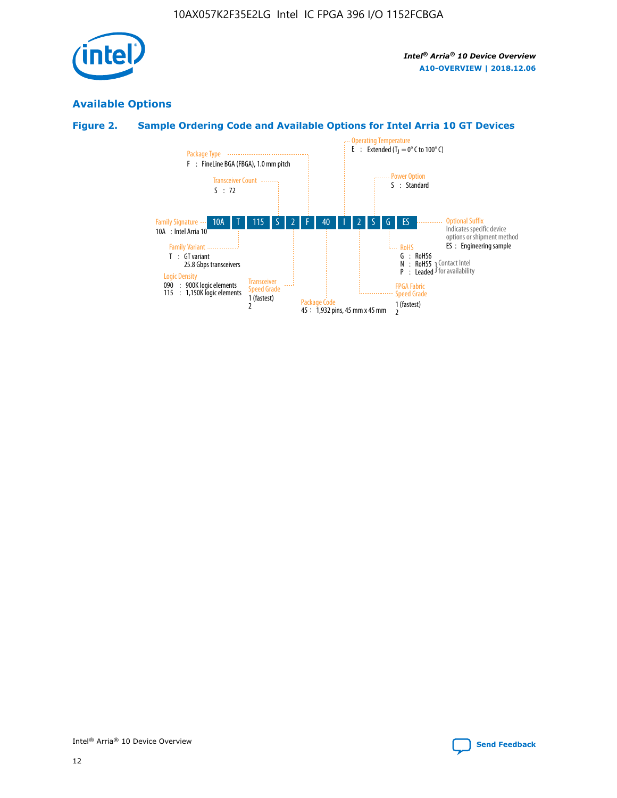

## **Available Options**

## **Figure 2. Sample Ordering Code and Available Options for Intel Arria 10 GT Devices**

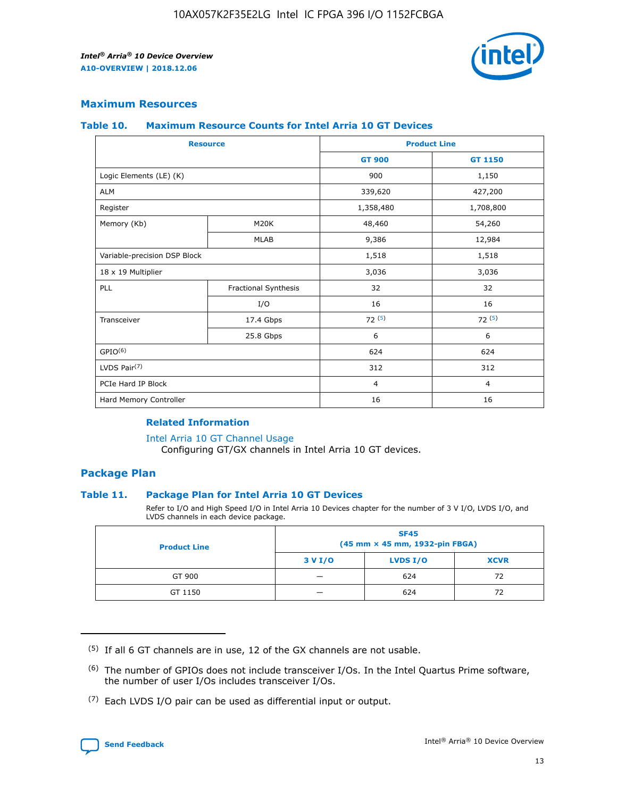

## **Maximum Resources**

#### **Table 10. Maximum Resource Counts for Intel Arria 10 GT Devices**

| <b>Resource</b>              |                      | <b>Product Line</b> |                |  |
|------------------------------|----------------------|---------------------|----------------|--|
|                              |                      | <b>GT 900</b>       | <b>GT 1150</b> |  |
| Logic Elements (LE) (K)      |                      | 900                 | 1,150          |  |
| <b>ALM</b>                   |                      | 339,620             | 427,200        |  |
| Register                     |                      | 1,358,480           | 1,708,800      |  |
| Memory (Kb)                  | M20K                 | 48,460              | 54,260         |  |
|                              | <b>MLAB</b>          | 9,386               | 12,984         |  |
| Variable-precision DSP Block |                      | 1,518               | 1,518          |  |
| 18 x 19 Multiplier           |                      | 3,036               | 3,036          |  |
| PLL                          | Fractional Synthesis | 32                  | 32             |  |
|                              | I/O                  | 16                  | 16             |  |
| Transceiver                  | 17.4 Gbps            | 72(5)               | 72(5)          |  |
|                              | 25.8 Gbps            | 6                   | 6              |  |
| GPIO <sup>(6)</sup>          |                      | 624                 | 624            |  |
| LVDS Pair $(7)$              |                      | 312                 | 312            |  |
| PCIe Hard IP Block           |                      | $\overline{4}$      | $\overline{4}$ |  |
| Hard Memory Controller       |                      | 16                  | 16             |  |

## **Related Information**

#### [Intel Arria 10 GT Channel Usage](https://www.intel.com/content/www/us/en/programmable/documentation/nik1398707230472.html#nik1398707008178)

Configuring GT/GX channels in Intel Arria 10 GT devices.

## **Package Plan**

## **Table 11. Package Plan for Intel Arria 10 GT Devices**

Refer to I/O and High Speed I/O in Intel Arria 10 Devices chapter for the number of 3 V I/O, LVDS I/O, and LVDS channels in each device package.

| <b>Product Line</b> | <b>SF45</b><br>(45 mm × 45 mm, 1932-pin FBGA) |                 |             |  |  |  |
|---------------------|-----------------------------------------------|-----------------|-------------|--|--|--|
|                     | 3 V I/O                                       | <b>LVDS I/O</b> | <b>XCVR</b> |  |  |  |
| GT 900              |                                               | 624             | 72          |  |  |  |
| GT 1150             |                                               | 624             | 72          |  |  |  |

<sup>(7)</sup> Each LVDS I/O pair can be used as differential input or output.



 $(5)$  If all 6 GT channels are in use, 12 of the GX channels are not usable.

<sup>(6)</sup> The number of GPIOs does not include transceiver I/Os. In the Intel Quartus Prime software, the number of user I/Os includes transceiver I/Os.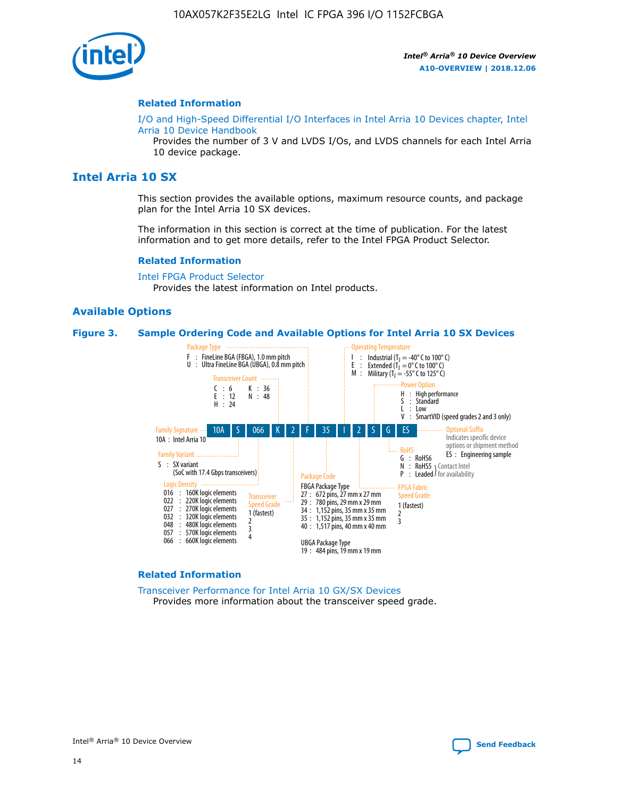

#### **Related Information**

[I/O and High-Speed Differential I/O Interfaces in Intel Arria 10 Devices chapter, Intel](https://www.intel.com/content/www/us/en/programmable/documentation/sam1403482614086.html#sam1403482030321) [Arria 10 Device Handbook](https://www.intel.com/content/www/us/en/programmable/documentation/sam1403482614086.html#sam1403482030321)

Provides the number of 3 V and LVDS I/Os, and LVDS channels for each Intel Arria 10 device package.

## **Intel Arria 10 SX**

This section provides the available options, maximum resource counts, and package plan for the Intel Arria 10 SX devices.

The information in this section is correct at the time of publication. For the latest information and to get more details, refer to the Intel FPGA Product Selector.

#### **Related Information**

[Intel FPGA Product Selector](http://www.altera.com/products/selector/psg-selector.html) Provides the latest information on Intel products.

## **Available Options**

#### **Figure 3. Sample Ordering Code and Available Options for Intel Arria 10 SX Devices**



#### **Related Information**

[Transceiver Performance for Intel Arria 10 GX/SX Devices](https://www.intel.com/content/www/us/en/programmable/documentation/mcn1413182292568.html#mcn1413213965502) Provides more information about the transceiver speed grade.

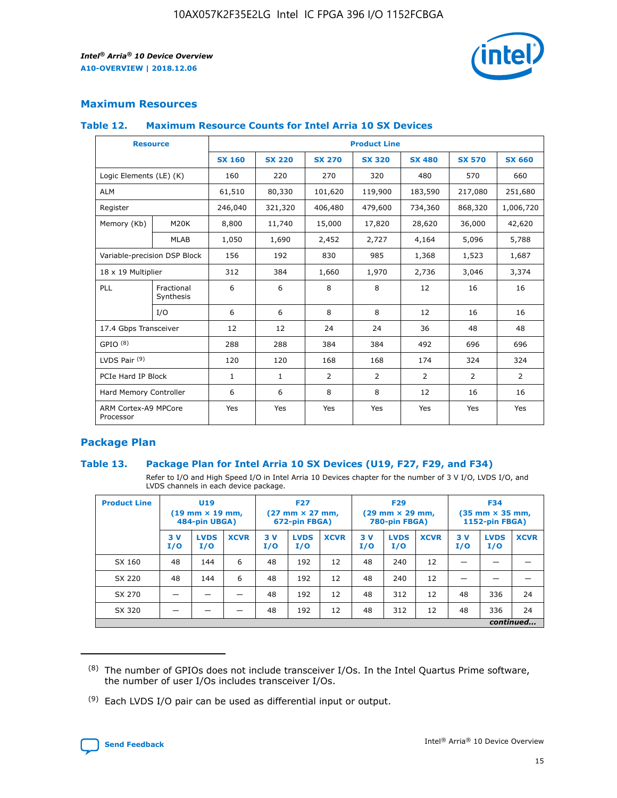

## **Maximum Resources**

#### **Table 12. Maximum Resource Counts for Intel Arria 10 SX Devices**

| <b>Resource</b>                   |                         | <b>Product Line</b> |               |               |                |               |               |               |  |  |  |
|-----------------------------------|-------------------------|---------------------|---------------|---------------|----------------|---------------|---------------|---------------|--|--|--|
|                                   |                         | <b>SX 160</b>       | <b>SX 220</b> | <b>SX 270</b> | <b>SX 320</b>  | <b>SX 480</b> | <b>SX 570</b> | <b>SX 660</b> |  |  |  |
| Logic Elements (LE) (K)           |                         | 160                 | 220           | 270           | 320            | 480           | 570           | 660           |  |  |  |
| <b>ALM</b>                        |                         | 61,510              | 80,330        | 101,620       | 119,900        | 183,590       | 217,080       | 251,680       |  |  |  |
| Register                          |                         | 246,040             | 321,320       | 406,480       | 479,600        | 734,360       | 868,320       | 1,006,720     |  |  |  |
| Memory (Kb)                       | M20K                    | 8,800               | 11,740        | 15,000        | 17,820         | 28,620        | 36,000        | 42,620        |  |  |  |
|                                   | <b>MLAB</b>             | 1,050               | 1,690         | 2,452         | 2,727          | 4,164         | 5,096         | 5,788         |  |  |  |
| Variable-precision DSP Block      |                         | 156                 | 192           | 830           | 985            | 1,368         | 1,523         | 1,687         |  |  |  |
| 18 x 19 Multiplier                |                         | 312                 | 384           | 1,660         | 1,970          | 2,736         | 3,046         | 3,374         |  |  |  |
| PLL                               | Fractional<br>Synthesis | 6                   | 6             | 8             | 8              | 12            | 16            | 16            |  |  |  |
|                                   | I/O                     | 6                   | 6             | 8             | 8              | 12            | 16            | 16            |  |  |  |
| 17.4 Gbps Transceiver             |                         | 12                  | 12            | 24            | 24             | 36            | 48            | 48            |  |  |  |
| GPIO <sup>(8)</sup>               |                         | 288                 | 288           | 384           | 384            | 492           | 696           | 696           |  |  |  |
| LVDS Pair $(9)$                   |                         | 120                 | 120           | 168           | 168            | 174           | 324           | 324           |  |  |  |
|                                   | PCIe Hard IP Block      |                     | $\mathbf{1}$  | 2             | $\overline{2}$ | 2             | 2             | 2             |  |  |  |
| Hard Memory Controller            |                         | 6                   | 6             | 8             | 8              | 12            | 16            | 16            |  |  |  |
| ARM Cortex-A9 MPCore<br>Processor |                         | Yes                 | Yes           | Yes           | Yes            | Yes           | Yes           | Yes           |  |  |  |

## **Package Plan**

## **Table 13. Package Plan for Intel Arria 10 SX Devices (U19, F27, F29, and F34)**

Refer to I/O and High Speed I/O in Intel Arria 10 Devices chapter for the number of 3 V I/O, LVDS I/O, and LVDS channels in each device package.

| <b>Product Line</b> | U <sub>19</sub><br>$(19 \text{ mm} \times 19 \text{ mm})$<br>484-pin UBGA) |                    | <b>F27</b><br>$(27 \text{ mm} \times 27 \text{ mm})$<br>672-pin FBGA) |           | <b>F29</b><br>$(29 \text{ mm} \times 29 \text{ mm})$<br>780-pin FBGA) |             |            | <b>F34</b><br>$(35 \text{ mm} \times 35 \text{ mm})$<br><b>1152-pin FBGA)</b> |             |           |                    |             |
|---------------------|----------------------------------------------------------------------------|--------------------|-----------------------------------------------------------------------|-----------|-----------------------------------------------------------------------|-------------|------------|-------------------------------------------------------------------------------|-------------|-----------|--------------------|-------------|
|                     | 3V<br>I/O                                                                  | <b>LVDS</b><br>I/O | <b>XCVR</b>                                                           | 3V<br>I/O | <b>LVDS</b><br>I/O                                                    | <b>XCVR</b> | 3 V<br>I/O | <b>LVDS</b><br>I/O                                                            | <b>XCVR</b> | 3V<br>I/O | <b>LVDS</b><br>I/O | <b>XCVR</b> |
| SX 160              | 48                                                                         | 144                | 6                                                                     | 48        | 192                                                                   | 12          | 48         | 240                                                                           | 12          | –         |                    |             |
| SX 220              | 48                                                                         | 144                | 6                                                                     | 48        | 192                                                                   | 12          | 48         | 240                                                                           | 12          |           |                    |             |
| SX 270              |                                                                            |                    |                                                                       | 48        | 192                                                                   | 12          | 48         | 312                                                                           | 12          | 48        | 336                | 24          |
| SX 320              |                                                                            |                    |                                                                       | 48        | 192                                                                   | 12          | 48         | 312                                                                           | 12          | 48        | 336                | 24          |
|                     | continued                                                                  |                    |                                                                       |           |                                                                       |             |            |                                                                               |             |           |                    |             |

 $(8)$  The number of GPIOs does not include transceiver I/Os. In the Intel Quartus Prime software, the number of user I/Os includes transceiver I/Os.

 $(9)$  Each LVDS I/O pair can be used as differential input or output.

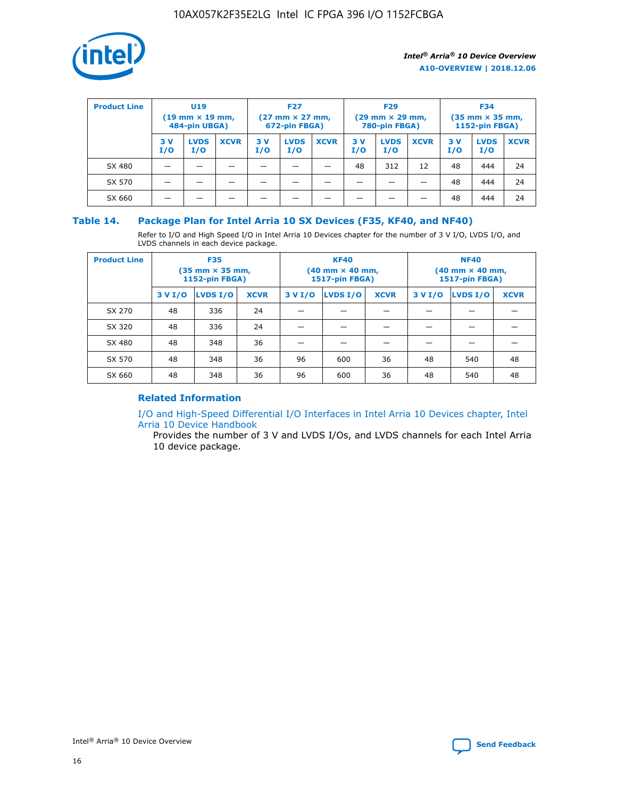

| <b>Product Line</b> | U <sub>19</sub><br>$(19 \text{ mm} \times 19 \text{ mm})$<br>484-pin UBGA) |                    | <b>F27</b><br>$(27 \text{ mm} \times 27 \text{ mm})$<br>672-pin FBGA) |            | <b>F29</b><br>$(29$ mm $\times$ 29 mm,<br>780-pin FBGA) |             |           | <b>F34</b><br>$(35$ mm $\times$ 35 mm,<br><b>1152-pin FBGA)</b> |             |            |                    |             |
|---------------------|----------------------------------------------------------------------------|--------------------|-----------------------------------------------------------------------|------------|---------------------------------------------------------|-------------|-----------|-----------------------------------------------------------------|-------------|------------|--------------------|-------------|
|                     | 3 V<br>I/O                                                                 | <b>LVDS</b><br>I/O | <b>XCVR</b>                                                           | 3 V<br>I/O | <b>LVDS</b><br>I/O                                      | <b>XCVR</b> | 3V<br>I/O | <b>LVDS</b><br>I/O                                              | <b>XCVR</b> | 3 V<br>I/O | <b>LVDS</b><br>I/O | <b>XCVR</b> |
| SX 480              |                                                                            |                    |                                                                       |            |                                                         |             | 48        | 312                                                             | 12          | 48         | 444                | 24          |
| SX 570              |                                                                            |                    |                                                                       |            |                                                         |             |           |                                                                 |             | 48         | 444                | 24          |
| SX 660              |                                                                            |                    |                                                                       |            |                                                         |             |           |                                                                 |             | 48         | 444                | 24          |

## **Table 14. Package Plan for Intel Arria 10 SX Devices (F35, KF40, and NF40)**

Refer to I/O and High Speed I/O in Intel Arria 10 Devices chapter for the number of 3 V I/O, LVDS I/O, and LVDS channels in each device package.

| <b>Product Line</b> | <b>F35</b><br>(35 mm × 35 mm,<br><b>1152-pin FBGA)</b> |          |             |                                           | <b>KF40</b><br>(40 mm × 40 mm,<br>1517-pin FBGA) |    | <b>NF40</b><br>$(40 \text{ mm} \times 40 \text{ mm})$<br><b>1517-pin FBGA)</b> |          |             |  |
|---------------------|--------------------------------------------------------|----------|-------------|-------------------------------------------|--------------------------------------------------|----|--------------------------------------------------------------------------------|----------|-------------|--|
|                     | 3 V I/O                                                | LVDS I/O | <b>XCVR</b> | <b>LVDS I/O</b><br><b>XCVR</b><br>3 V I/O |                                                  |    | 3 V I/O                                                                        | LVDS I/O | <b>XCVR</b> |  |
| SX 270              | 48                                                     | 336      | 24          |                                           |                                                  |    |                                                                                |          |             |  |
| SX 320              | 48                                                     | 336      | 24          |                                           |                                                  |    |                                                                                |          |             |  |
| SX 480              | 48                                                     | 348      | 36          |                                           |                                                  |    |                                                                                |          |             |  |
| SX 570              | 48                                                     | 348      | 36          | 96<br>36<br>600                           |                                                  | 48 | 540                                                                            | 48       |             |  |
| SX 660              | 48                                                     | 348      | 36          | 96                                        | 600                                              | 36 | 48                                                                             | 540      | 48          |  |

## **Related Information**

[I/O and High-Speed Differential I/O Interfaces in Intel Arria 10 Devices chapter, Intel](https://www.intel.com/content/www/us/en/programmable/documentation/sam1403482614086.html#sam1403482030321) [Arria 10 Device Handbook](https://www.intel.com/content/www/us/en/programmable/documentation/sam1403482614086.html#sam1403482030321)

Provides the number of 3 V and LVDS I/Os, and LVDS channels for each Intel Arria 10 device package.

Intel<sup>®</sup> Arria<sup>®</sup> 10 Device Overview **[Send Feedback](mailto:FPGAtechdocfeedback@intel.com?subject=Feedback%20on%20Intel%20Arria%2010%20Device%20Overview%20(A10-OVERVIEW%202018.12.06)&body=We%20appreciate%20your%20feedback.%20In%20your%20comments,%20also%20specify%20the%20page%20number%20or%20paragraph.%20Thank%20you.)** Send Feedback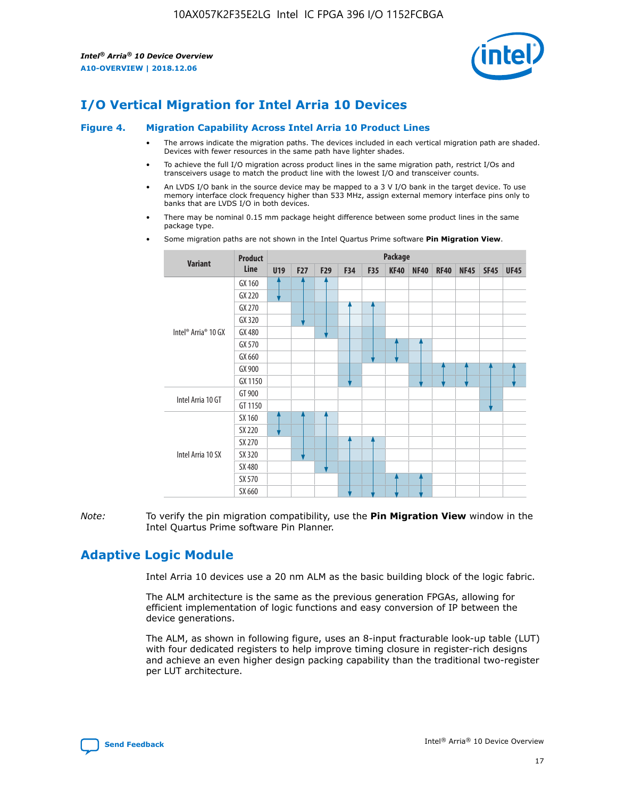

## **I/O Vertical Migration for Intel Arria 10 Devices**

#### **Figure 4. Migration Capability Across Intel Arria 10 Product Lines**

- The arrows indicate the migration paths. The devices included in each vertical migration path are shaded. Devices with fewer resources in the same path have lighter shades.
- To achieve the full I/O migration across product lines in the same migration path, restrict I/Os and transceivers usage to match the product line with the lowest I/O and transceiver counts.
- An LVDS I/O bank in the source device may be mapped to a 3 V I/O bank in the target device. To use memory interface clock frequency higher than 533 MHz, assign external memory interface pins only to banks that are LVDS I/O in both devices.
- There may be nominal 0.15 mm package height difference between some product lines in the same package type.
	- **Variant Product Line Package U19 F27 F29 F34 F35 KF40 NF40 RF40 NF45 SF45 UF45** Intel® Arria® 10 GX GX 160 GX 220 GX 270 GX 320 GX 480 GX 570 GX 660 GX 900 GX 1150 Intel Arria 10 GT GT 900 GT 1150 Intel Arria 10 SX SX 160 SX 220 SX 270 SX 320 SX 480 SX 570 SX 660
- Some migration paths are not shown in the Intel Quartus Prime software **Pin Migration View**.

*Note:* To verify the pin migration compatibility, use the **Pin Migration View** window in the Intel Quartus Prime software Pin Planner.

## **Adaptive Logic Module**

Intel Arria 10 devices use a 20 nm ALM as the basic building block of the logic fabric.

The ALM architecture is the same as the previous generation FPGAs, allowing for efficient implementation of logic functions and easy conversion of IP between the device generations.

The ALM, as shown in following figure, uses an 8-input fracturable look-up table (LUT) with four dedicated registers to help improve timing closure in register-rich designs and achieve an even higher design packing capability than the traditional two-register per LUT architecture.

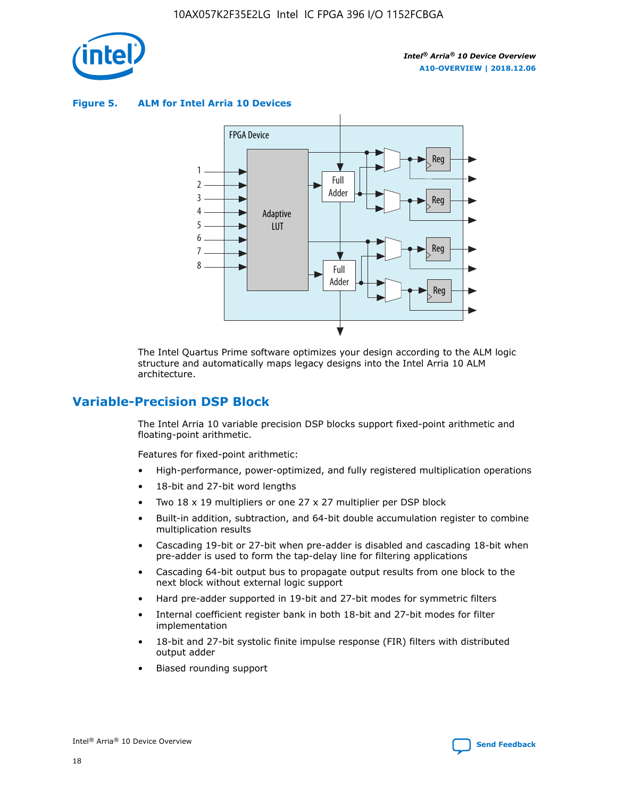

**Figure 5. ALM for Intel Arria 10 Devices**



The Intel Quartus Prime software optimizes your design according to the ALM logic structure and automatically maps legacy designs into the Intel Arria 10 ALM architecture.

## **Variable-Precision DSP Block**

The Intel Arria 10 variable precision DSP blocks support fixed-point arithmetic and floating-point arithmetic.

Features for fixed-point arithmetic:

- High-performance, power-optimized, and fully registered multiplication operations
- 18-bit and 27-bit word lengths
- Two 18 x 19 multipliers or one 27 x 27 multiplier per DSP block
- Built-in addition, subtraction, and 64-bit double accumulation register to combine multiplication results
- Cascading 19-bit or 27-bit when pre-adder is disabled and cascading 18-bit when pre-adder is used to form the tap-delay line for filtering applications
- Cascading 64-bit output bus to propagate output results from one block to the next block without external logic support
- Hard pre-adder supported in 19-bit and 27-bit modes for symmetric filters
- Internal coefficient register bank in both 18-bit and 27-bit modes for filter implementation
- 18-bit and 27-bit systolic finite impulse response (FIR) filters with distributed output adder
- Biased rounding support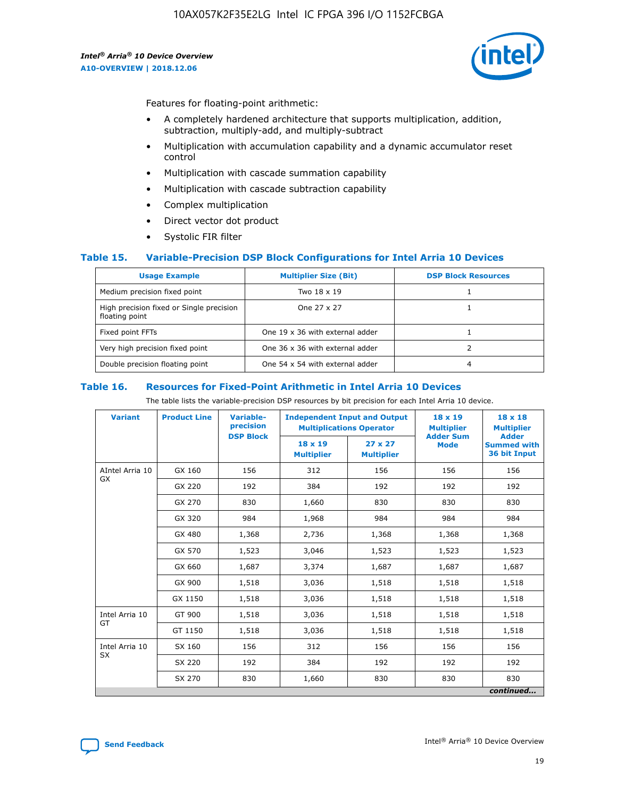

Features for floating-point arithmetic:

- A completely hardened architecture that supports multiplication, addition, subtraction, multiply-add, and multiply-subtract
- Multiplication with accumulation capability and a dynamic accumulator reset control
- Multiplication with cascade summation capability
- Multiplication with cascade subtraction capability
- Complex multiplication
- Direct vector dot product
- Systolic FIR filter

## **Table 15. Variable-Precision DSP Block Configurations for Intel Arria 10 Devices**

| <b>Usage Example</b>                                       | <b>Multiplier Size (Bit)</b>    | <b>DSP Block Resources</b> |
|------------------------------------------------------------|---------------------------------|----------------------------|
| Medium precision fixed point                               | Two 18 x 19                     |                            |
| High precision fixed or Single precision<br>floating point | One 27 x 27                     |                            |
| Fixed point FFTs                                           | One 19 x 36 with external adder |                            |
| Very high precision fixed point                            | One 36 x 36 with external adder |                            |
| Double precision floating point                            | One 54 x 54 with external adder | 4                          |

#### **Table 16. Resources for Fixed-Point Arithmetic in Intel Arria 10 Devices**

The table lists the variable-precision DSP resources by bit precision for each Intel Arria 10 device.

| <b>Variant</b>  | <b>Product Line</b> | <b>Variable-</b><br>precision<br><b>DSP Block</b> | <b>Independent Input and Output</b><br><b>Multiplications Operator</b> |                                     | 18 x 19<br><b>Multiplier</b><br><b>Adder Sum</b> | $18 \times 18$<br><b>Multiplier</b><br><b>Adder</b> |
|-----------------|---------------------|---------------------------------------------------|------------------------------------------------------------------------|-------------------------------------|--------------------------------------------------|-----------------------------------------------------|
|                 |                     |                                                   | 18 x 19<br><b>Multiplier</b>                                           | $27 \times 27$<br><b>Multiplier</b> | <b>Mode</b>                                      | <b>Summed with</b><br>36 bit Input                  |
| AIntel Arria 10 | GX 160              | 156                                               | 312                                                                    | 156                                 | 156                                              | 156                                                 |
| GX              | GX 220              | 192                                               | 384                                                                    | 192                                 | 192                                              | 192                                                 |
|                 | GX 270              | 830                                               | 1,660                                                                  | 830                                 | 830                                              | 830                                                 |
|                 | GX 320              | 984                                               | 1,968                                                                  | 984                                 | 984                                              | 984                                                 |
|                 | GX 480              | 1,368                                             | 2,736                                                                  | 1,368                               | 1,368                                            | 1,368                                               |
|                 | GX 570              | 1,523                                             | 3,046                                                                  | 1,523                               | 1,523                                            | 1,523                                               |
|                 | GX 660              | 1,687                                             | 3,374                                                                  | 1,687                               | 1,687                                            | 1,687                                               |
|                 | GX 900              | 1,518                                             | 3,036                                                                  | 1,518                               | 1,518                                            | 1,518                                               |
|                 | GX 1150             | 1,518                                             | 3,036                                                                  | 1,518                               | 1,518                                            | 1,518                                               |
| Intel Arria 10  | GT 900              | 1,518                                             | 3,036                                                                  | 1,518                               | 1,518                                            | 1,518                                               |
| GT              | GT 1150             | 1,518                                             | 3,036                                                                  | 1,518                               | 1,518                                            | 1,518                                               |
| Intel Arria 10  | SX 160              | 156                                               | 312                                                                    | 156                                 | 156                                              | 156                                                 |
| <b>SX</b>       | SX 220              | 192                                               | 384                                                                    | 192                                 | 192                                              | 192                                                 |
|                 | SX 270              | 830                                               | 1,660                                                                  | 830                                 | 830                                              | 830                                                 |
|                 |                     |                                                   |                                                                        |                                     |                                                  | continued                                           |

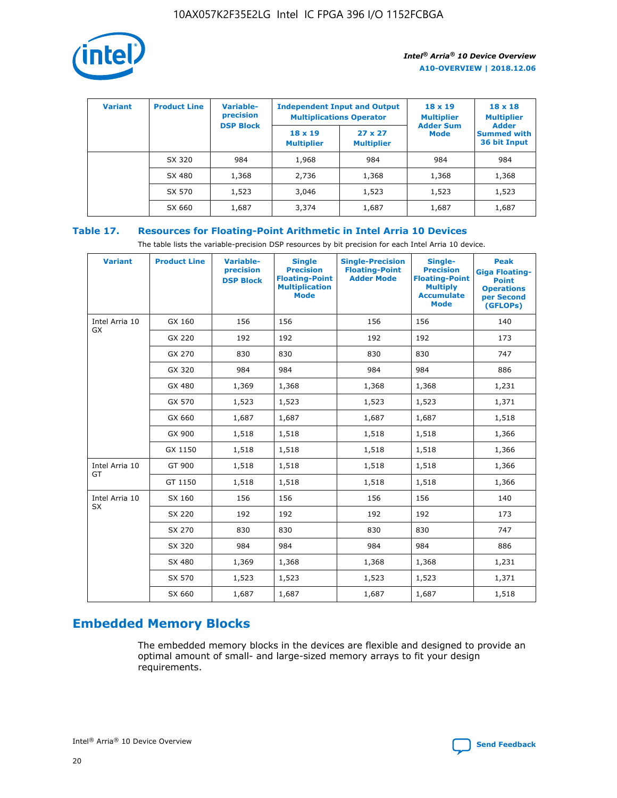

| <b>Variant</b> | <b>Product Line</b> | <b>Variable-</b><br>precision<br><b>DSP Block</b> | <b>Independent Input and Output</b><br><b>Multiplications Operator</b> |                                     | $18 \times 19$<br><b>Multiplier</b><br><b>Adder Sum</b> | $18 \times 18$<br><b>Multiplier</b><br><b>Adder</b> |  |
|----------------|---------------------|---------------------------------------------------|------------------------------------------------------------------------|-------------------------------------|---------------------------------------------------------|-----------------------------------------------------|--|
|                |                     |                                                   | $18 \times 19$<br><b>Multiplier</b>                                    | $27 \times 27$<br><b>Multiplier</b> | <b>Mode</b>                                             | <b>Summed with</b><br>36 bit Input                  |  |
|                | SX 320              | 984                                               | 1,968                                                                  | 984                                 | 984                                                     | 984                                                 |  |
|                | SX 480              | 1,368                                             | 2,736                                                                  | 1,368                               | 1,368                                                   | 1,368                                               |  |
|                | SX 570              | 1,523                                             | 3,046                                                                  | 1,523                               | 1,523                                                   | 1,523                                               |  |
|                | SX 660              | 1,687                                             | 3,374                                                                  | 1,687                               | 1,687                                                   | 1,687                                               |  |

## **Table 17. Resources for Floating-Point Arithmetic in Intel Arria 10 Devices**

The table lists the variable-precision DSP resources by bit precision for each Intel Arria 10 device.

| <b>Variant</b> | <b>Product Line</b> | <b>Variable-</b><br>precision<br><b>DSP Block</b> | <b>Single</b><br><b>Precision</b><br><b>Floating-Point</b><br><b>Multiplication</b><br><b>Mode</b> | <b>Single-Precision</b><br><b>Floating-Point</b><br><b>Adder Mode</b> | Single-<br><b>Precision</b><br><b>Floating-Point</b><br><b>Multiply</b><br><b>Accumulate</b><br><b>Mode</b> | <b>Peak</b><br><b>Giga Floating-</b><br><b>Point</b><br><b>Operations</b><br>per Second<br>(GFLOPs) |
|----------------|---------------------|---------------------------------------------------|----------------------------------------------------------------------------------------------------|-----------------------------------------------------------------------|-------------------------------------------------------------------------------------------------------------|-----------------------------------------------------------------------------------------------------|
| Intel Arria 10 | GX 160              | 156                                               | 156                                                                                                | 156                                                                   | 156                                                                                                         | 140                                                                                                 |
| GX             | GX 220              | 192                                               | 192                                                                                                | 192                                                                   | 192                                                                                                         | 173                                                                                                 |
|                | GX 270              | 830                                               | 830                                                                                                | 830                                                                   | 830                                                                                                         | 747                                                                                                 |
|                | GX 320              | 984                                               | 984                                                                                                | 984                                                                   | 984                                                                                                         | 886                                                                                                 |
|                | GX 480              | 1,369                                             | 1,368                                                                                              | 1,368                                                                 | 1,368                                                                                                       | 1,231                                                                                               |
|                | GX 570              | 1,523                                             | 1,523                                                                                              | 1,523                                                                 | 1,523                                                                                                       | 1,371                                                                                               |
|                | GX 660              | 1,687                                             | 1,687                                                                                              | 1,687                                                                 | 1,687                                                                                                       | 1,518                                                                                               |
|                | GX 900              | 1,518                                             | 1,518                                                                                              | 1,518                                                                 | 1,518                                                                                                       | 1,366                                                                                               |
|                | GX 1150             | 1,518                                             | 1,518                                                                                              | 1,518                                                                 | 1,518                                                                                                       | 1,366                                                                                               |
| Intel Arria 10 | GT 900              | 1,518                                             | 1,518                                                                                              | 1,518                                                                 | 1,518                                                                                                       | 1,366                                                                                               |
| GT             | GT 1150             | 1,518                                             | 1,518                                                                                              | 1,518                                                                 | 1,518                                                                                                       | 1,366                                                                                               |
| Intel Arria 10 | SX 160              | 156                                               | 156                                                                                                | 156                                                                   | 156                                                                                                         | 140                                                                                                 |
| <b>SX</b>      | SX 220              | 192                                               | 192                                                                                                | 192                                                                   | 192                                                                                                         | 173                                                                                                 |
|                | SX 270              | 830                                               | 830                                                                                                | 830                                                                   | 830                                                                                                         | 747                                                                                                 |
|                | SX 320              | 984                                               | 984                                                                                                | 984                                                                   | 984                                                                                                         | 886                                                                                                 |
|                | SX 480              | 1,369                                             | 1,368                                                                                              | 1,368                                                                 | 1,368                                                                                                       | 1,231                                                                                               |
|                | SX 570              | 1,523                                             | 1,523                                                                                              | 1,523                                                                 | 1,523                                                                                                       | 1,371                                                                                               |
|                | SX 660              | 1,687                                             | 1,687                                                                                              | 1,687                                                                 | 1,687                                                                                                       | 1,518                                                                                               |

## **Embedded Memory Blocks**

The embedded memory blocks in the devices are flexible and designed to provide an optimal amount of small- and large-sized memory arrays to fit your design requirements.

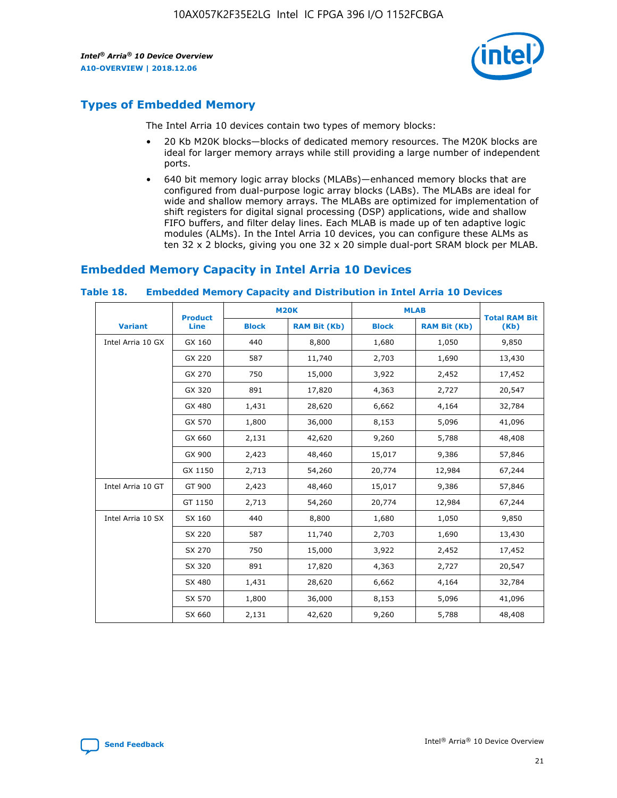

## **Types of Embedded Memory**

The Intel Arria 10 devices contain two types of memory blocks:

- 20 Kb M20K blocks—blocks of dedicated memory resources. The M20K blocks are ideal for larger memory arrays while still providing a large number of independent ports.
- 640 bit memory logic array blocks (MLABs)—enhanced memory blocks that are configured from dual-purpose logic array blocks (LABs). The MLABs are ideal for wide and shallow memory arrays. The MLABs are optimized for implementation of shift registers for digital signal processing (DSP) applications, wide and shallow FIFO buffers, and filter delay lines. Each MLAB is made up of ten adaptive logic modules (ALMs). In the Intel Arria 10 devices, you can configure these ALMs as ten 32 x 2 blocks, giving you one 32 x 20 simple dual-port SRAM block per MLAB.

## **Embedded Memory Capacity in Intel Arria 10 Devices**

|                   | <b>Product</b> |              | <b>M20K</b>         | <b>MLAB</b>  |                     | <b>Total RAM Bit</b> |
|-------------------|----------------|--------------|---------------------|--------------|---------------------|----------------------|
| <b>Variant</b>    | Line           | <b>Block</b> | <b>RAM Bit (Kb)</b> | <b>Block</b> | <b>RAM Bit (Kb)</b> | (Kb)                 |
| Intel Arria 10 GX | GX 160         | 440          | 8,800               | 1,680        | 1,050               | 9,850                |
|                   | GX 220         | 587          | 11,740              | 2,703        | 1,690               | 13,430               |
|                   | GX 270         | 750          | 15,000              | 3,922        | 2,452               | 17,452               |
|                   | GX 320         | 891          | 17,820              | 4,363        | 2,727               | 20,547               |
|                   | GX 480         | 1,431        | 28,620              | 6,662        | 4,164               | 32,784               |
|                   | GX 570         | 1,800        | 36,000              | 8,153        | 5,096               | 41,096               |
|                   | GX 660         | 2,131        | 42,620              | 9,260        | 5,788               | 48,408               |
|                   | GX 900         | 2,423        | 48,460              | 15,017       | 9,386               | 57,846               |
|                   | GX 1150        | 2,713        | 54,260              | 20,774       | 12,984              | 67,244               |
| Intel Arria 10 GT | GT 900         | 2,423        | 48,460              | 15,017       | 9,386               | 57,846               |
|                   | GT 1150        | 2,713        | 54,260              | 20,774       | 12,984              | 67,244               |
| Intel Arria 10 SX | SX 160         | 440          | 8,800               | 1,680        | 1,050               | 9,850                |
|                   | SX 220         | 587          | 11,740              | 2,703        | 1,690               | 13,430               |
|                   | SX 270         | 750          | 15,000              | 3,922        | 2,452               | 17,452               |
|                   | SX 320         | 891          | 17,820              | 4,363        | 2,727               | 20,547               |
|                   | SX 480         | 1,431        | 28,620              | 6,662        | 4,164               | 32,784               |
|                   | SX 570         | 1,800        | 36,000              | 8,153        | 5,096               | 41,096               |
|                   | SX 660         | 2,131        | 42,620              | 9,260        | 5,788               | 48,408               |

#### **Table 18. Embedded Memory Capacity and Distribution in Intel Arria 10 Devices**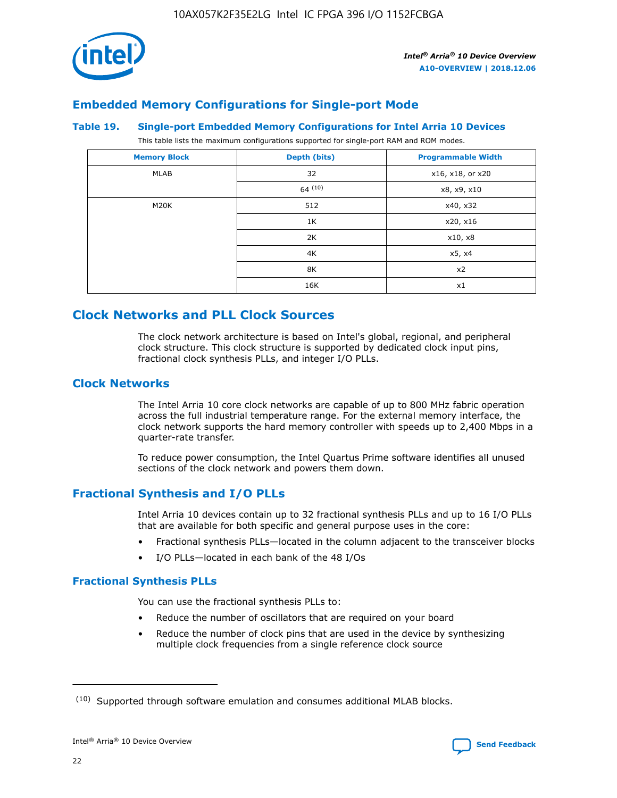

## **Embedded Memory Configurations for Single-port Mode**

#### **Table 19. Single-port Embedded Memory Configurations for Intel Arria 10 Devices**

This table lists the maximum configurations supported for single-port RAM and ROM modes.

| <b>Memory Block</b> | Depth (bits) | <b>Programmable Width</b> |
|---------------------|--------------|---------------------------|
| MLAB                | 32           | x16, x18, or x20          |
|                     | 64(10)       | x8, x9, x10               |
| M20K                | 512          | x40, x32                  |
|                     | 1K           | x20, x16                  |
|                     | 2K           | x10, x8                   |
|                     | 4K           | x5, x4                    |
|                     | 8K           | x2                        |
|                     | 16K          | x1                        |

## **Clock Networks and PLL Clock Sources**

The clock network architecture is based on Intel's global, regional, and peripheral clock structure. This clock structure is supported by dedicated clock input pins, fractional clock synthesis PLLs, and integer I/O PLLs.

## **Clock Networks**

The Intel Arria 10 core clock networks are capable of up to 800 MHz fabric operation across the full industrial temperature range. For the external memory interface, the clock network supports the hard memory controller with speeds up to 2,400 Mbps in a quarter-rate transfer.

To reduce power consumption, the Intel Quartus Prime software identifies all unused sections of the clock network and powers them down.

## **Fractional Synthesis and I/O PLLs**

Intel Arria 10 devices contain up to 32 fractional synthesis PLLs and up to 16 I/O PLLs that are available for both specific and general purpose uses in the core:

- Fractional synthesis PLLs—located in the column adjacent to the transceiver blocks
- I/O PLLs—located in each bank of the 48 I/Os

## **Fractional Synthesis PLLs**

You can use the fractional synthesis PLLs to:

- Reduce the number of oscillators that are required on your board
- Reduce the number of clock pins that are used in the device by synthesizing multiple clock frequencies from a single reference clock source

<sup>(10)</sup> Supported through software emulation and consumes additional MLAB blocks.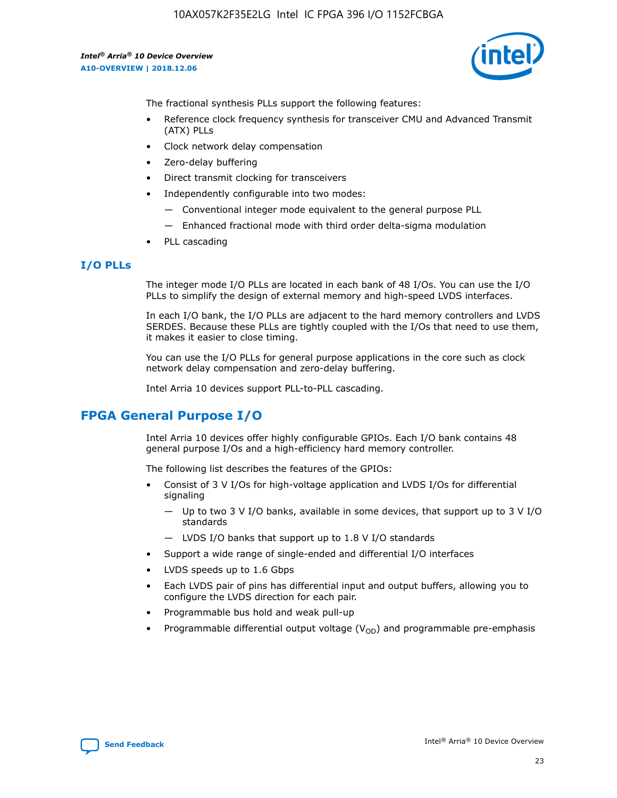

The fractional synthesis PLLs support the following features:

- Reference clock frequency synthesis for transceiver CMU and Advanced Transmit (ATX) PLLs
- Clock network delay compensation
- Zero-delay buffering
- Direct transmit clocking for transceivers
- Independently configurable into two modes:
	- Conventional integer mode equivalent to the general purpose PLL
	- Enhanced fractional mode with third order delta-sigma modulation
- PLL cascading

## **I/O PLLs**

The integer mode I/O PLLs are located in each bank of 48 I/Os. You can use the I/O PLLs to simplify the design of external memory and high-speed LVDS interfaces.

In each I/O bank, the I/O PLLs are adjacent to the hard memory controllers and LVDS SERDES. Because these PLLs are tightly coupled with the I/Os that need to use them, it makes it easier to close timing.

You can use the I/O PLLs for general purpose applications in the core such as clock network delay compensation and zero-delay buffering.

Intel Arria 10 devices support PLL-to-PLL cascading.

## **FPGA General Purpose I/O**

Intel Arria 10 devices offer highly configurable GPIOs. Each I/O bank contains 48 general purpose I/Os and a high-efficiency hard memory controller.

The following list describes the features of the GPIOs:

- Consist of 3 V I/Os for high-voltage application and LVDS I/Os for differential signaling
	- Up to two 3 V I/O banks, available in some devices, that support up to 3 V I/O standards
	- LVDS I/O banks that support up to 1.8 V I/O standards
- Support a wide range of single-ended and differential I/O interfaces
- LVDS speeds up to 1.6 Gbps
- Each LVDS pair of pins has differential input and output buffers, allowing you to configure the LVDS direction for each pair.
- Programmable bus hold and weak pull-up
- Programmable differential output voltage  $(V_{OD})$  and programmable pre-emphasis

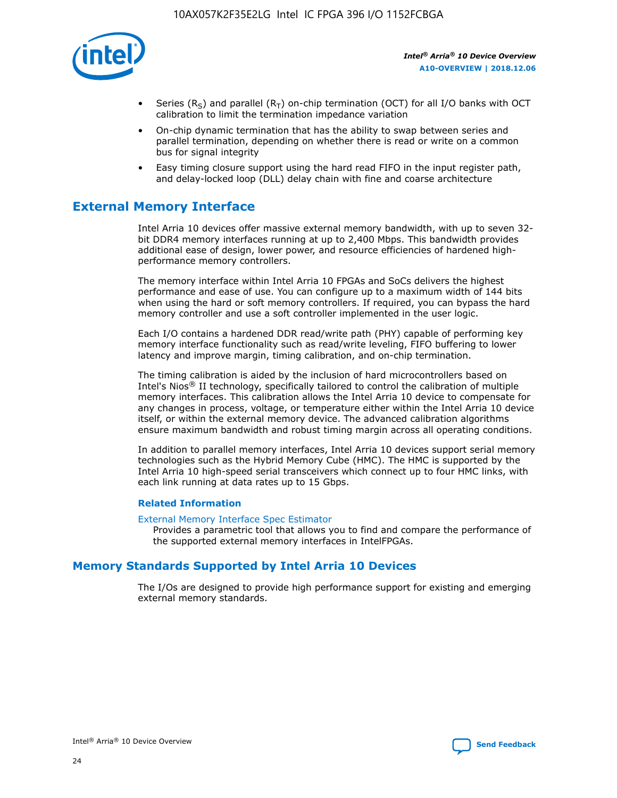

- Series (R<sub>S</sub>) and parallel (R<sub>T</sub>) on-chip termination (OCT) for all I/O banks with OCT calibration to limit the termination impedance variation
- On-chip dynamic termination that has the ability to swap between series and parallel termination, depending on whether there is read or write on a common bus for signal integrity
- Easy timing closure support using the hard read FIFO in the input register path, and delay-locked loop (DLL) delay chain with fine and coarse architecture

## **External Memory Interface**

Intel Arria 10 devices offer massive external memory bandwidth, with up to seven 32 bit DDR4 memory interfaces running at up to 2,400 Mbps. This bandwidth provides additional ease of design, lower power, and resource efficiencies of hardened highperformance memory controllers.

The memory interface within Intel Arria 10 FPGAs and SoCs delivers the highest performance and ease of use. You can configure up to a maximum width of 144 bits when using the hard or soft memory controllers. If required, you can bypass the hard memory controller and use a soft controller implemented in the user logic.

Each I/O contains a hardened DDR read/write path (PHY) capable of performing key memory interface functionality such as read/write leveling, FIFO buffering to lower latency and improve margin, timing calibration, and on-chip termination.

The timing calibration is aided by the inclusion of hard microcontrollers based on Intel's Nios® II technology, specifically tailored to control the calibration of multiple memory interfaces. This calibration allows the Intel Arria 10 device to compensate for any changes in process, voltage, or temperature either within the Intel Arria 10 device itself, or within the external memory device. The advanced calibration algorithms ensure maximum bandwidth and robust timing margin across all operating conditions.

In addition to parallel memory interfaces, Intel Arria 10 devices support serial memory technologies such as the Hybrid Memory Cube (HMC). The HMC is supported by the Intel Arria 10 high-speed serial transceivers which connect up to four HMC links, with each link running at data rates up to 15 Gbps.

## **Related Information**

#### [External Memory Interface Spec Estimator](http://www.altera.com/technology/memory/estimator/mem-emif-index.html)

Provides a parametric tool that allows you to find and compare the performance of the supported external memory interfaces in IntelFPGAs.

## **Memory Standards Supported by Intel Arria 10 Devices**

The I/Os are designed to provide high performance support for existing and emerging external memory standards.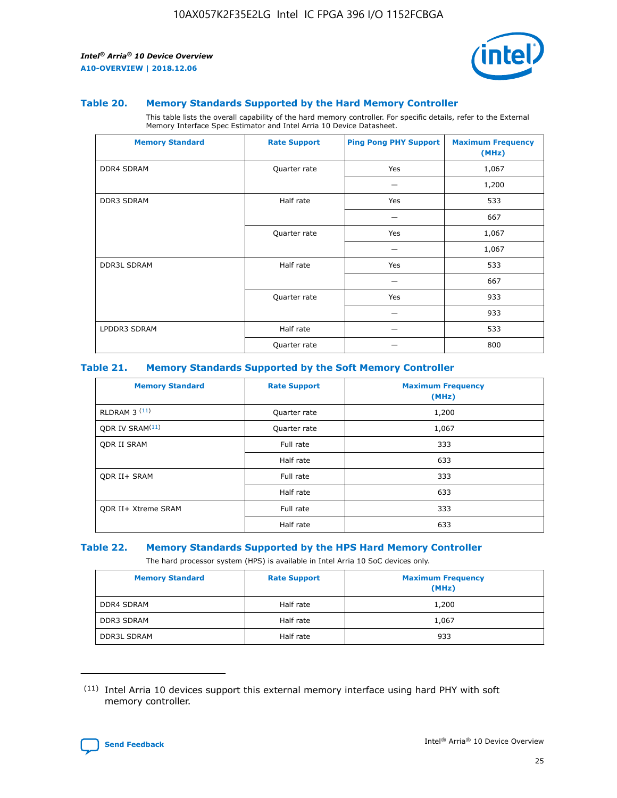

#### **Table 20. Memory Standards Supported by the Hard Memory Controller**

This table lists the overall capability of the hard memory controller. For specific details, refer to the External Memory Interface Spec Estimator and Intel Arria 10 Device Datasheet.

| <b>Memory Standard</b> | <b>Rate Support</b> | <b>Ping Pong PHY Support</b> | <b>Maximum Frequency</b><br>(MHz) |
|------------------------|---------------------|------------------------------|-----------------------------------|
| <b>DDR4 SDRAM</b>      | Quarter rate        | Yes                          | 1,067                             |
|                        |                     |                              | 1,200                             |
| DDR3 SDRAM             | Half rate           | Yes                          | 533                               |
|                        |                     |                              | 667                               |
|                        | Quarter rate        | Yes                          | 1,067                             |
|                        |                     |                              | 1,067                             |
| <b>DDR3L SDRAM</b>     | Half rate           | Yes                          | 533                               |
|                        |                     |                              | 667                               |
|                        | Quarter rate        | Yes                          | 933                               |
|                        |                     |                              | 933                               |
| LPDDR3 SDRAM           | Half rate           |                              | 533                               |
|                        | Quarter rate        |                              | 800                               |

## **Table 21. Memory Standards Supported by the Soft Memory Controller**

| <b>Memory Standard</b>      | <b>Rate Support</b> | <b>Maximum Frequency</b><br>(MHz) |
|-----------------------------|---------------------|-----------------------------------|
| <b>RLDRAM 3 (11)</b>        | Quarter rate        | 1,200                             |
| ODR IV SRAM <sup>(11)</sup> | Quarter rate        | 1,067                             |
| <b>ODR II SRAM</b>          | Full rate           | 333                               |
|                             | Half rate           | 633                               |
| <b>ODR II+ SRAM</b>         | Full rate           | 333                               |
|                             | Half rate           | 633                               |
| <b>ODR II+ Xtreme SRAM</b>  | Full rate           | 333                               |
|                             | Half rate           | 633                               |

#### **Table 22. Memory Standards Supported by the HPS Hard Memory Controller**

The hard processor system (HPS) is available in Intel Arria 10 SoC devices only.

| <b>Memory Standard</b> | <b>Rate Support</b> | <b>Maximum Frequency</b><br>(MHz) |
|------------------------|---------------------|-----------------------------------|
| <b>DDR4 SDRAM</b>      | Half rate           | 1,200                             |
| <b>DDR3 SDRAM</b>      | Half rate           | 1,067                             |
| <b>DDR3L SDRAM</b>     | Half rate           | 933                               |

<sup>(11)</sup> Intel Arria 10 devices support this external memory interface using hard PHY with soft memory controller.

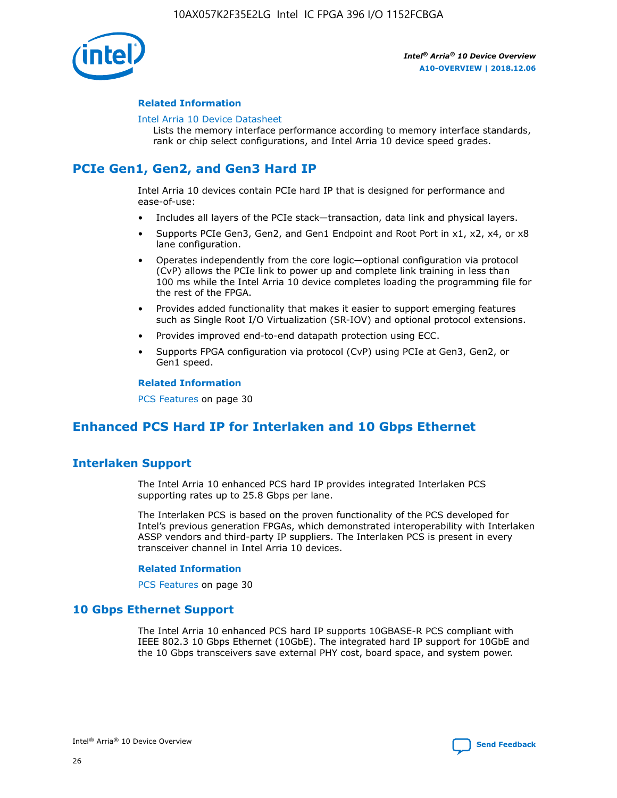

## **Related Information**

#### [Intel Arria 10 Device Datasheet](https://www.intel.com/content/www/us/en/programmable/documentation/mcn1413182292568.html#mcn1413182153340)

Lists the memory interface performance according to memory interface standards, rank or chip select configurations, and Intel Arria 10 device speed grades.

## **PCIe Gen1, Gen2, and Gen3 Hard IP**

Intel Arria 10 devices contain PCIe hard IP that is designed for performance and ease-of-use:

- Includes all layers of the PCIe stack—transaction, data link and physical layers.
- Supports PCIe Gen3, Gen2, and Gen1 Endpoint and Root Port in x1, x2, x4, or x8 lane configuration.
- Operates independently from the core logic—optional configuration via protocol (CvP) allows the PCIe link to power up and complete link training in less than 100 ms while the Intel Arria 10 device completes loading the programming file for the rest of the FPGA.
- Provides added functionality that makes it easier to support emerging features such as Single Root I/O Virtualization (SR-IOV) and optional protocol extensions.
- Provides improved end-to-end datapath protection using ECC.
- Supports FPGA configuration via protocol (CvP) using PCIe at Gen3, Gen2, or Gen1 speed.

#### **Related Information**

PCS Features on page 30

## **Enhanced PCS Hard IP for Interlaken and 10 Gbps Ethernet**

## **Interlaken Support**

The Intel Arria 10 enhanced PCS hard IP provides integrated Interlaken PCS supporting rates up to 25.8 Gbps per lane.

The Interlaken PCS is based on the proven functionality of the PCS developed for Intel's previous generation FPGAs, which demonstrated interoperability with Interlaken ASSP vendors and third-party IP suppliers. The Interlaken PCS is present in every transceiver channel in Intel Arria 10 devices.

## **Related Information**

PCS Features on page 30

## **10 Gbps Ethernet Support**

The Intel Arria 10 enhanced PCS hard IP supports 10GBASE-R PCS compliant with IEEE 802.3 10 Gbps Ethernet (10GbE). The integrated hard IP support for 10GbE and the 10 Gbps transceivers save external PHY cost, board space, and system power.

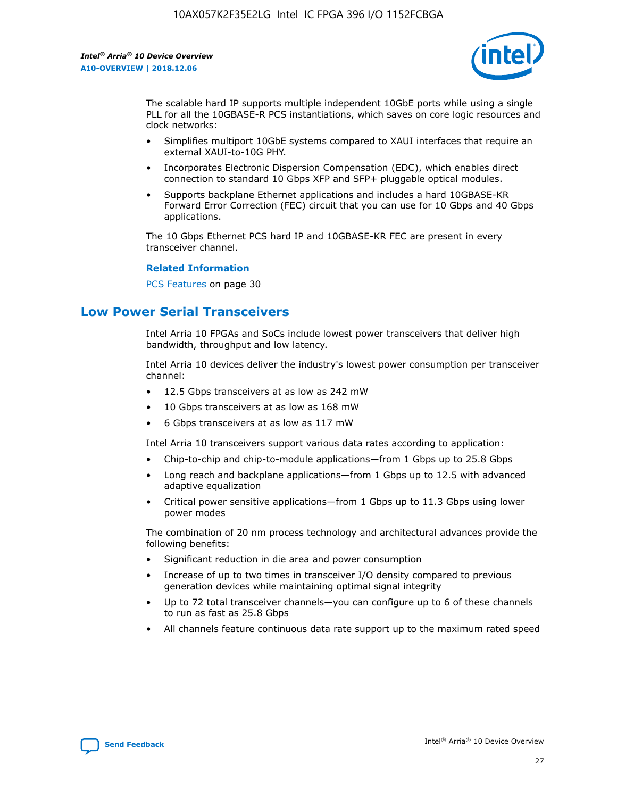

The scalable hard IP supports multiple independent 10GbE ports while using a single PLL for all the 10GBASE-R PCS instantiations, which saves on core logic resources and clock networks:

- Simplifies multiport 10GbE systems compared to XAUI interfaces that require an external XAUI-to-10G PHY.
- Incorporates Electronic Dispersion Compensation (EDC), which enables direct connection to standard 10 Gbps XFP and SFP+ pluggable optical modules.
- Supports backplane Ethernet applications and includes a hard 10GBASE-KR Forward Error Correction (FEC) circuit that you can use for 10 Gbps and 40 Gbps applications.

The 10 Gbps Ethernet PCS hard IP and 10GBASE-KR FEC are present in every transceiver channel.

#### **Related Information**

PCS Features on page 30

## **Low Power Serial Transceivers**

Intel Arria 10 FPGAs and SoCs include lowest power transceivers that deliver high bandwidth, throughput and low latency.

Intel Arria 10 devices deliver the industry's lowest power consumption per transceiver channel:

- 12.5 Gbps transceivers at as low as 242 mW
- 10 Gbps transceivers at as low as 168 mW
- 6 Gbps transceivers at as low as 117 mW

Intel Arria 10 transceivers support various data rates according to application:

- Chip-to-chip and chip-to-module applications—from 1 Gbps up to 25.8 Gbps
- Long reach and backplane applications—from 1 Gbps up to 12.5 with advanced adaptive equalization
- Critical power sensitive applications—from 1 Gbps up to 11.3 Gbps using lower power modes

The combination of 20 nm process technology and architectural advances provide the following benefits:

- Significant reduction in die area and power consumption
- Increase of up to two times in transceiver I/O density compared to previous generation devices while maintaining optimal signal integrity
- Up to 72 total transceiver channels—you can configure up to 6 of these channels to run as fast as 25.8 Gbps
- All channels feature continuous data rate support up to the maximum rated speed

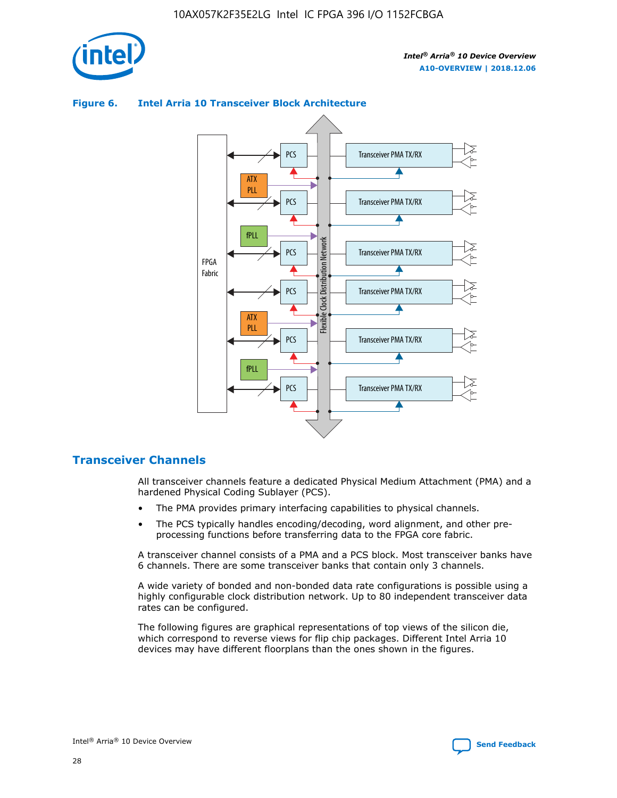



## **Figure 6. Intel Arria 10 Transceiver Block Architecture**

## **Transceiver Channels**

All transceiver channels feature a dedicated Physical Medium Attachment (PMA) and a hardened Physical Coding Sublayer (PCS).

- The PMA provides primary interfacing capabilities to physical channels.
- The PCS typically handles encoding/decoding, word alignment, and other preprocessing functions before transferring data to the FPGA core fabric.

A transceiver channel consists of a PMA and a PCS block. Most transceiver banks have 6 channels. There are some transceiver banks that contain only 3 channels.

A wide variety of bonded and non-bonded data rate configurations is possible using a highly configurable clock distribution network. Up to 80 independent transceiver data rates can be configured.

The following figures are graphical representations of top views of the silicon die, which correspond to reverse views for flip chip packages. Different Intel Arria 10 devices may have different floorplans than the ones shown in the figures.

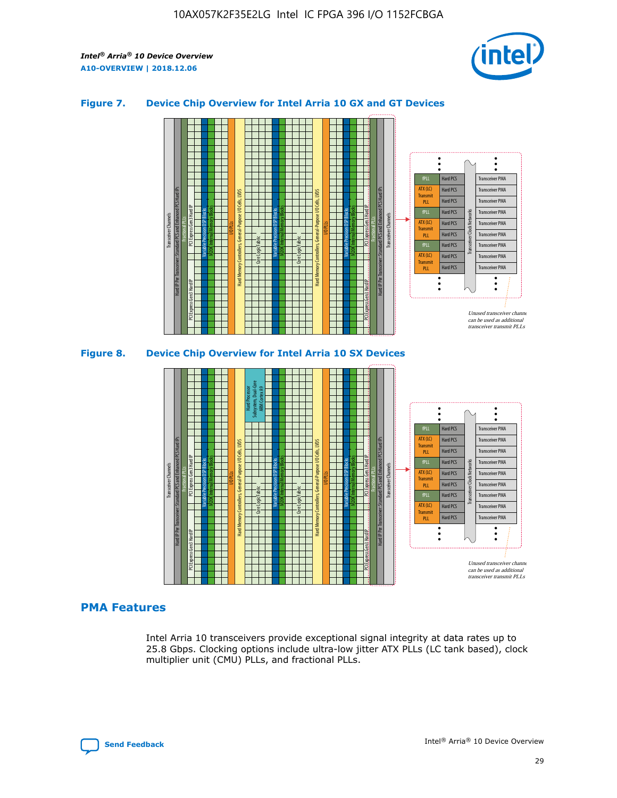

## **Figure 7. Device Chip Overview for Intel Arria 10 GX and GT Devices**





## **PMA Features**

Intel Arria 10 transceivers provide exceptional signal integrity at data rates up to 25.8 Gbps. Clocking options include ultra-low jitter ATX PLLs (LC tank based), clock multiplier unit (CMU) PLLs, and fractional PLLs.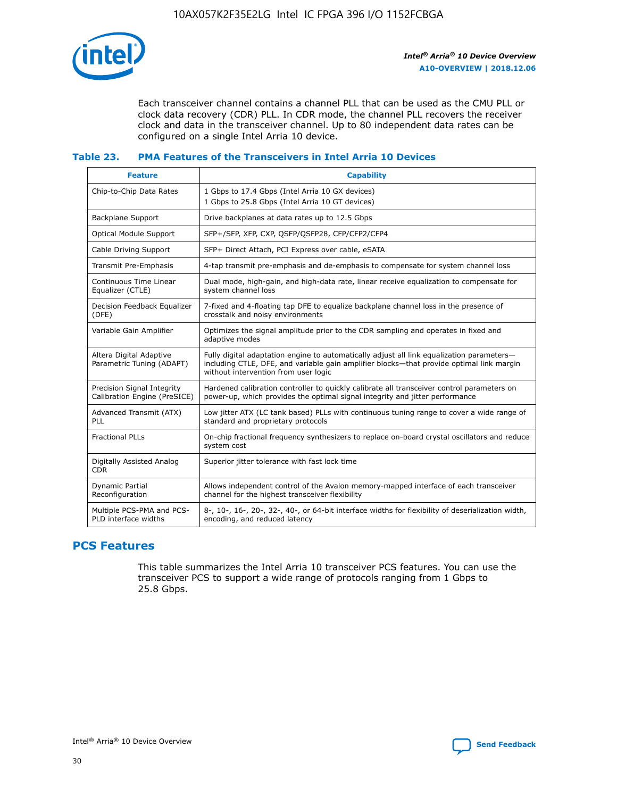

Each transceiver channel contains a channel PLL that can be used as the CMU PLL or clock data recovery (CDR) PLL. In CDR mode, the channel PLL recovers the receiver clock and data in the transceiver channel. Up to 80 independent data rates can be configured on a single Intel Arria 10 device.

## **Table 23. PMA Features of the Transceivers in Intel Arria 10 Devices**

| <b>Feature</b>                                             | <b>Capability</b>                                                                                                                                                                                                             |
|------------------------------------------------------------|-------------------------------------------------------------------------------------------------------------------------------------------------------------------------------------------------------------------------------|
| Chip-to-Chip Data Rates                                    | 1 Gbps to 17.4 Gbps (Intel Arria 10 GX devices)<br>1 Gbps to 25.8 Gbps (Intel Arria 10 GT devices)                                                                                                                            |
| Backplane Support                                          | Drive backplanes at data rates up to 12.5 Gbps                                                                                                                                                                                |
| <b>Optical Module Support</b>                              | SFP+/SFP, XFP, CXP, QSFP/QSFP28, CFP/CFP2/CFP4                                                                                                                                                                                |
| Cable Driving Support                                      | SFP+ Direct Attach, PCI Express over cable, eSATA                                                                                                                                                                             |
| Transmit Pre-Emphasis                                      | 4-tap transmit pre-emphasis and de-emphasis to compensate for system channel loss                                                                                                                                             |
| Continuous Time Linear<br>Equalizer (CTLE)                 | Dual mode, high-gain, and high-data rate, linear receive equalization to compensate for<br>system channel loss                                                                                                                |
| Decision Feedback Equalizer<br>(DFE)                       | 7-fixed and 4-floating tap DFE to equalize backplane channel loss in the presence of<br>crosstalk and noisy environments                                                                                                      |
| Variable Gain Amplifier                                    | Optimizes the signal amplitude prior to the CDR sampling and operates in fixed and<br>adaptive modes                                                                                                                          |
| Altera Digital Adaptive<br>Parametric Tuning (ADAPT)       | Fully digital adaptation engine to automatically adjust all link equalization parameters-<br>including CTLE, DFE, and variable gain amplifier blocks—that provide optimal link margin<br>without intervention from user logic |
| Precision Signal Integrity<br>Calibration Engine (PreSICE) | Hardened calibration controller to quickly calibrate all transceiver control parameters on<br>power-up, which provides the optimal signal integrity and jitter performance                                                    |
| Advanced Transmit (ATX)<br>PLL                             | Low jitter ATX (LC tank based) PLLs with continuous tuning range to cover a wide range of<br>standard and proprietary protocols                                                                                               |
| <b>Fractional PLLs</b>                                     | On-chip fractional frequency synthesizers to replace on-board crystal oscillators and reduce<br>system cost                                                                                                                   |
| Digitally Assisted Analog<br><b>CDR</b>                    | Superior jitter tolerance with fast lock time                                                                                                                                                                                 |
| <b>Dynamic Partial</b><br>Reconfiguration                  | Allows independent control of the Avalon memory-mapped interface of each transceiver<br>channel for the highest transceiver flexibility                                                                                       |
| Multiple PCS-PMA and PCS-<br>PLD interface widths          | 8-, 10-, 16-, 20-, 32-, 40-, or 64-bit interface widths for flexibility of deserialization width,<br>encoding, and reduced latency                                                                                            |

## **PCS Features**

This table summarizes the Intel Arria 10 transceiver PCS features. You can use the transceiver PCS to support a wide range of protocols ranging from 1 Gbps to 25.8 Gbps.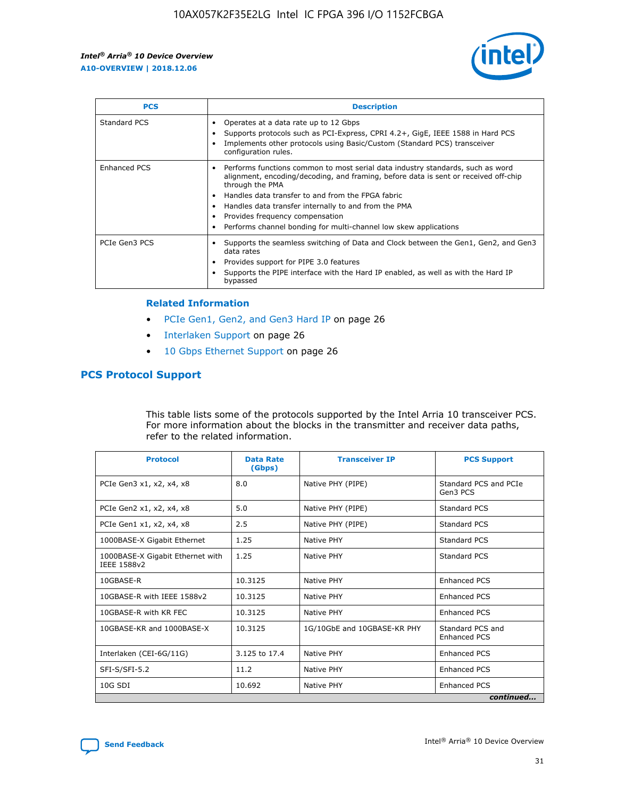

| <b>PCS</b>    | <b>Description</b>                                                                                                                                                                                                                                                                                                                                                                                             |
|---------------|----------------------------------------------------------------------------------------------------------------------------------------------------------------------------------------------------------------------------------------------------------------------------------------------------------------------------------------------------------------------------------------------------------------|
| Standard PCS  | Operates at a data rate up to 12 Gbps<br>Supports protocols such as PCI-Express, CPRI 4.2+, GigE, IEEE 1588 in Hard PCS<br>Implements other protocols using Basic/Custom (Standard PCS) transceiver<br>configuration rules.                                                                                                                                                                                    |
| Enhanced PCS  | Performs functions common to most serial data industry standards, such as word<br>alignment, encoding/decoding, and framing, before data is sent or received off-chip<br>through the PMA<br>• Handles data transfer to and from the FPGA fabric<br>Handles data transfer internally to and from the PMA<br>Provides frequency compensation<br>Performs channel bonding for multi-channel low skew applications |
| PCIe Gen3 PCS | Supports the seamless switching of Data and Clock between the Gen1, Gen2, and Gen3<br>data rates<br>Provides support for PIPE 3.0 features<br>Supports the PIPE interface with the Hard IP enabled, as well as with the Hard IP<br>bypassed                                                                                                                                                                    |

#### **Related Information**

- PCIe Gen1, Gen2, and Gen3 Hard IP on page 26
- Interlaken Support on page 26
- 10 Gbps Ethernet Support on page 26

## **PCS Protocol Support**

This table lists some of the protocols supported by the Intel Arria 10 transceiver PCS. For more information about the blocks in the transmitter and receiver data paths, refer to the related information.

| <b>Protocol</b>                                 | <b>Data Rate</b><br>(Gbps) | <b>Transceiver IP</b>       | <b>PCS Support</b>                      |
|-------------------------------------------------|----------------------------|-----------------------------|-----------------------------------------|
| PCIe Gen3 x1, x2, x4, x8                        | 8.0                        | Native PHY (PIPE)           | Standard PCS and PCIe<br>Gen3 PCS       |
| PCIe Gen2 x1, x2, x4, x8                        | 5.0                        | Native PHY (PIPE)           | <b>Standard PCS</b>                     |
| PCIe Gen1 x1, x2, x4, x8                        | 2.5                        | Native PHY (PIPE)           | Standard PCS                            |
| 1000BASE-X Gigabit Ethernet                     | 1.25                       | Native PHY                  | <b>Standard PCS</b>                     |
| 1000BASE-X Gigabit Ethernet with<br>IEEE 1588v2 | 1.25                       | Native PHY                  | Standard PCS                            |
| 10GBASE-R                                       | 10.3125                    | Native PHY                  | <b>Enhanced PCS</b>                     |
| 10GBASE-R with IEEE 1588v2                      | 10.3125                    | Native PHY                  | <b>Enhanced PCS</b>                     |
| 10GBASE-R with KR FEC                           | 10.3125                    | Native PHY                  | <b>Enhanced PCS</b>                     |
| 10GBASE-KR and 1000BASE-X                       | 10.3125                    | 1G/10GbE and 10GBASE-KR PHY | Standard PCS and<br><b>Enhanced PCS</b> |
| Interlaken (CEI-6G/11G)                         | 3.125 to 17.4              | Native PHY                  | <b>Enhanced PCS</b>                     |
| SFI-S/SFI-5.2                                   | 11.2                       | Native PHY                  | <b>Enhanced PCS</b>                     |
| $10G$ SDI                                       | 10.692                     | Native PHY                  | <b>Enhanced PCS</b>                     |
|                                                 |                            |                             | continued                               |

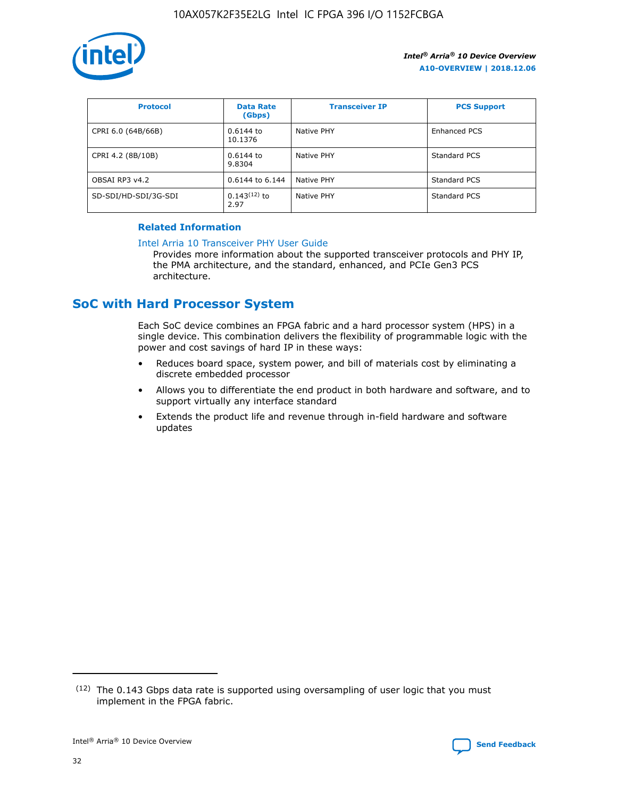

| <b>Protocol</b>      | <b>Data Rate</b><br>(Gbps) | <b>Transceiver IP</b> | <b>PCS Support</b> |
|----------------------|----------------------------|-----------------------|--------------------|
| CPRI 6.0 (64B/66B)   | 0.6144 to<br>10.1376       | Native PHY            | Enhanced PCS       |
| CPRI 4.2 (8B/10B)    | 0.6144 to<br>9.8304        | Native PHY            | Standard PCS       |
| OBSAI RP3 v4.2       | 0.6144 to 6.144            | Native PHY            | Standard PCS       |
| SD-SDI/HD-SDI/3G-SDI | $0.143(12)$ to<br>2.97     | Native PHY            | Standard PCS       |

## **Related Information**

#### [Intel Arria 10 Transceiver PHY User Guide](https://www.intel.com/content/www/us/en/programmable/documentation/nik1398707230472.html#nik1398707091164)

Provides more information about the supported transceiver protocols and PHY IP, the PMA architecture, and the standard, enhanced, and PCIe Gen3 PCS architecture.

## **SoC with Hard Processor System**

Each SoC device combines an FPGA fabric and a hard processor system (HPS) in a single device. This combination delivers the flexibility of programmable logic with the power and cost savings of hard IP in these ways:

- Reduces board space, system power, and bill of materials cost by eliminating a discrete embedded processor
- Allows you to differentiate the end product in both hardware and software, and to support virtually any interface standard
- Extends the product life and revenue through in-field hardware and software updates

 $(12)$  The 0.143 Gbps data rate is supported using oversampling of user logic that you must implement in the FPGA fabric.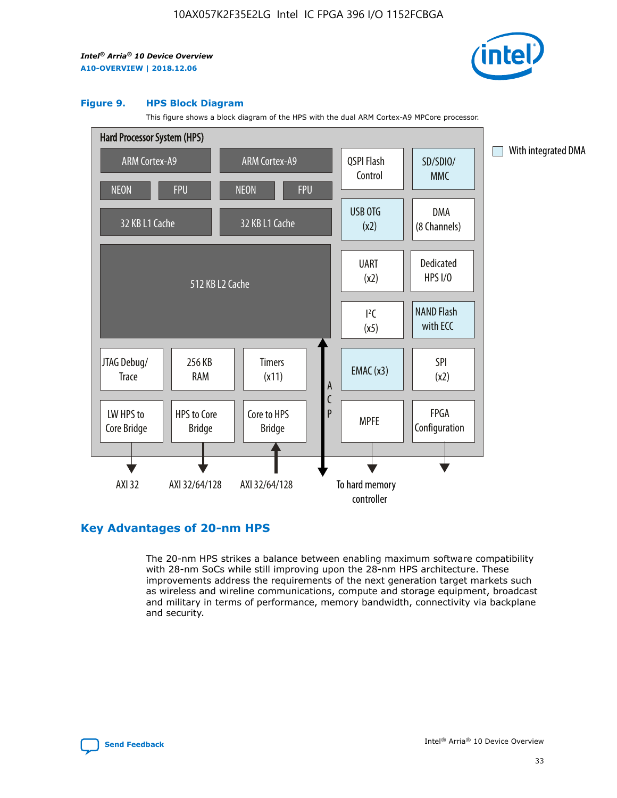

#### **Figure 9. HPS Block Diagram**

This figure shows a block diagram of the HPS with the dual ARM Cortex-A9 MPCore processor.



## **Key Advantages of 20-nm HPS**

The 20-nm HPS strikes a balance between enabling maximum software compatibility with 28-nm SoCs while still improving upon the 28-nm HPS architecture. These improvements address the requirements of the next generation target markets such as wireless and wireline communications, compute and storage equipment, broadcast and military in terms of performance, memory bandwidth, connectivity via backplane and security.

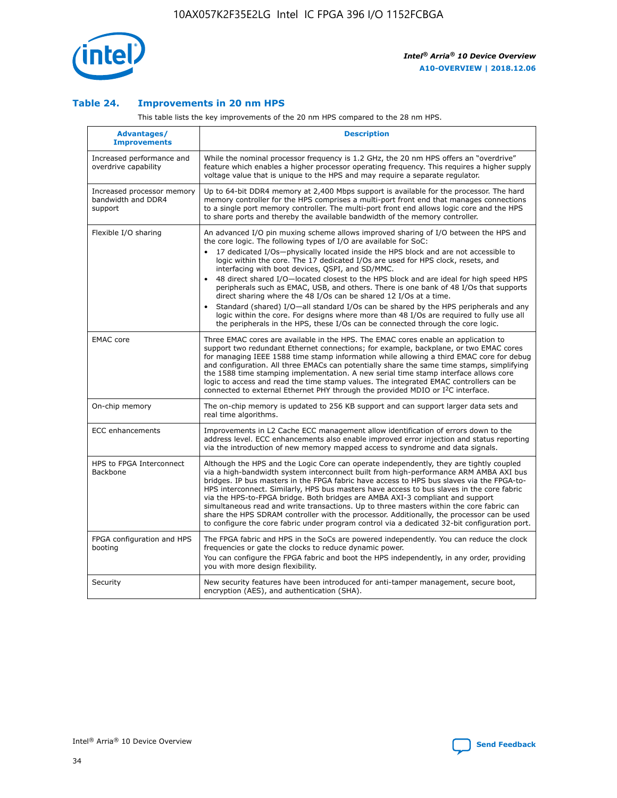

## **Table 24. Improvements in 20 nm HPS**

This table lists the key improvements of the 20 nm HPS compared to the 28 nm HPS.

| Advantages/<br><b>Improvements</b>                          | <b>Description</b>                                                                                                                                                                                                                                                                                                                                                                                                                                                                                                                                                                                                                                                                                                                                                                                                                                                                                                                   |
|-------------------------------------------------------------|--------------------------------------------------------------------------------------------------------------------------------------------------------------------------------------------------------------------------------------------------------------------------------------------------------------------------------------------------------------------------------------------------------------------------------------------------------------------------------------------------------------------------------------------------------------------------------------------------------------------------------------------------------------------------------------------------------------------------------------------------------------------------------------------------------------------------------------------------------------------------------------------------------------------------------------|
| Increased performance and<br>overdrive capability           | While the nominal processor frequency is 1.2 GHz, the 20 nm HPS offers an "overdrive"<br>feature which enables a higher processor operating frequency. This requires a higher supply<br>voltage value that is unique to the HPS and may require a separate requlator.                                                                                                                                                                                                                                                                                                                                                                                                                                                                                                                                                                                                                                                                |
| Increased processor memory<br>bandwidth and DDR4<br>support | Up to 64-bit DDR4 memory at 2,400 Mbps support is available for the processor. The hard<br>memory controller for the HPS comprises a multi-port front end that manages connections<br>to a single port memory controller. The multi-port front end allows logic core and the HPS<br>to share ports and thereby the available bandwidth of the memory controller.                                                                                                                                                                                                                                                                                                                                                                                                                                                                                                                                                                     |
| Flexible I/O sharing                                        | An advanced I/O pin muxing scheme allows improved sharing of I/O between the HPS and<br>the core logic. The following types of I/O are available for SoC:<br>17 dedicated I/Os-physically located inside the HPS block and are not accessible to<br>logic within the core. The 17 dedicated I/Os are used for HPS clock, resets, and<br>interfacing with boot devices, QSPI, and SD/MMC.<br>48 direct shared I/O-located closest to the HPS block and are ideal for high speed HPS<br>peripherals such as EMAC, USB, and others. There is one bank of 48 I/Os that supports<br>direct sharing where the 48 I/Os can be shared 12 I/Os at a time.<br>Standard (shared) I/O-all standard I/Os can be shared by the HPS peripherals and any<br>$\bullet$<br>logic within the core. For designs where more than 48 I/Os are required to fully use all<br>the peripherals in the HPS, these I/Os can be connected through the core logic. |
| <b>EMAC</b> core                                            | Three EMAC cores are available in the HPS. The EMAC cores enable an application to<br>support two redundant Ethernet connections; for example, backplane, or two EMAC cores<br>for managing IEEE 1588 time stamp information while allowing a third EMAC core for debug<br>and configuration. All three EMACs can potentially share the same time stamps, simplifying<br>the 1588 time stamping implementation. A new serial time stamp interface allows core<br>logic to access and read the time stamp values. The integrated EMAC controllers can be<br>connected to external Ethernet PHY through the provided MDIO or I <sup>2</sup> C interface.                                                                                                                                                                                                                                                                               |
| On-chip memory                                              | The on-chip memory is updated to 256 KB support and can support larger data sets and<br>real time algorithms.                                                                                                                                                                                                                                                                                                                                                                                                                                                                                                                                                                                                                                                                                                                                                                                                                        |
| <b>ECC</b> enhancements                                     | Improvements in L2 Cache ECC management allow identification of errors down to the<br>address level. ECC enhancements also enable improved error injection and status reporting<br>via the introduction of new memory mapped access to syndrome and data signals.                                                                                                                                                                                                                                                                                                                                                                                                                                                                                                                                                                                                                                                                    |
| HPS to FPGA Interconnect<br><b>Backbone</b>                 | Although the HPS and the Logic Core can operate independently, they are tightly coupled<br>via a high-bandwidth system interconnect built from high-performance ARM AMBA AXI bus<br>bridges. IP bus masters in the FPGA fabric have access to HPS bus slaves via the FPGA-to-<br>HPS interconnect. Similarly, HPS bus masters have access to bus slaves in the core fabric<br>via the HPS-to-FPGA bridge. Both bridges are AMBA AXI-3 compliant and support<br>simultaneous read and write transactions. Up to three masters within the core fabric can<br>share the HPS SDRAM controller with the processor. Additionally, the processor can be used<br>to configure the core fabric under program control via a dedicated 32-bit configuration port.                                                                                                                                                                               |
| FPGA configuration and HPS<br>booting                       | The FPGA fabric and HPS in the SoCs are powered independently. You can reduce the clock<br>frequencies or gate the clocks to reduce dynamic power.<br>You can configure the FPGA fabric and boot the HPS independently, in any order, providing<br>you with more design flexibility.                                                                                                                                                                                                                                                                                                                                                                                                                                                                                                                                                                                                                                                 |
| Security                                                    | New security features have been introduced for anti-tamper management, secure boot,<br>encryption (AES), and authentication (SHA).                                                                                                                                                                                                                                                                                                                                                                                                                                                                                                                                                                                                                                                                                                                                                                                                   |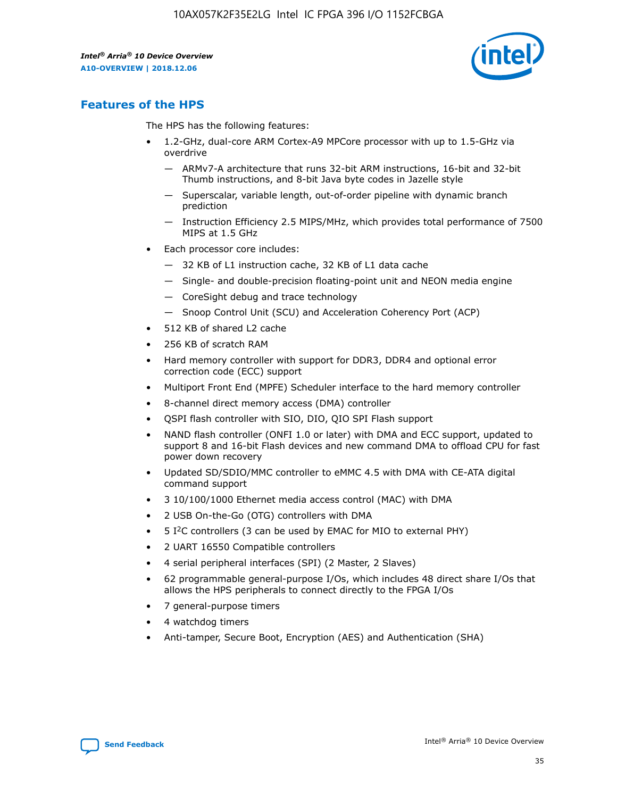

## **Features of the HPS**

The HPS has the following features:

- 1.2-GHz, dual-core ARM Cortex-A9 MPCore processor with up to 1.5-GHz via overdrive
	- ARMv7-A architecture that runs 32-bit ARM instructions, 16-bit and 32-bit Thumb instructions, and 8-bit Java byte codes in Jazelle style
	- Superscalar, variable length, out-of-order pipeline with dynamic branch prediction
	- Instruction Efficiency 2.5 MIPS/MHz, which provides total performance of 7500 MIPS at 1.5 GHz
- Each processor core includes:
	- 32 KB of L1 instruction cache, 32 KB of L1 data cache
	- Single- and double-precision floating-point unit and NEON media engine
	- CoreSight debug and trace technology
	- Snoop Control Unit (SCU) and Acceleration Coherency Port (ACP)
- 512 KB of shared L2 cache
- 256 KB of scratch RAM
- Hard memory controller with support for DDR3, DDR4 and optional error correction code (ECC) support
- Multiport Front End (MPFE) Scheduler interface to the hard memory controller
- 8-channel direct memory access (DMA) controller
- QSPI flash controller with SIO, DIO, QIO SPI Flash support
- NAND flash controller (ONFI 1.0 or later) with DMA and ECC support, updated to support 8 and 16-bit Flash devices and new command DMA to offload CPU for fast power down recovery
- Updated SD/SDIO/MMC controller to eMMC 4.5 with DMA with CE-ATA digital command support
- 3 10/100/1000 Ethernet media access control (MAC) with DMA
- 2 USB On-the-Go (OTG) controllers with DMA
- $\bullet$  5 I<sup>2</sup>C controllers (3 can be used by EMAC for MIO to external PHY)
- 2 UART 16550 Compatible controllers
- 4 serial peripheral interfaces (SPI) (2 Master, 2 Slaves)
- 62 programmable general-purpose I/Os, which includes 48 direct share I/Os that allows the HPS peripherals to connect directly to the FPGA I/Os
- 7 general-purpose timers
- 4 watchdog timers
- Anti-tamper, Secure Boot, Encryption (AES) and Authentication (SHA)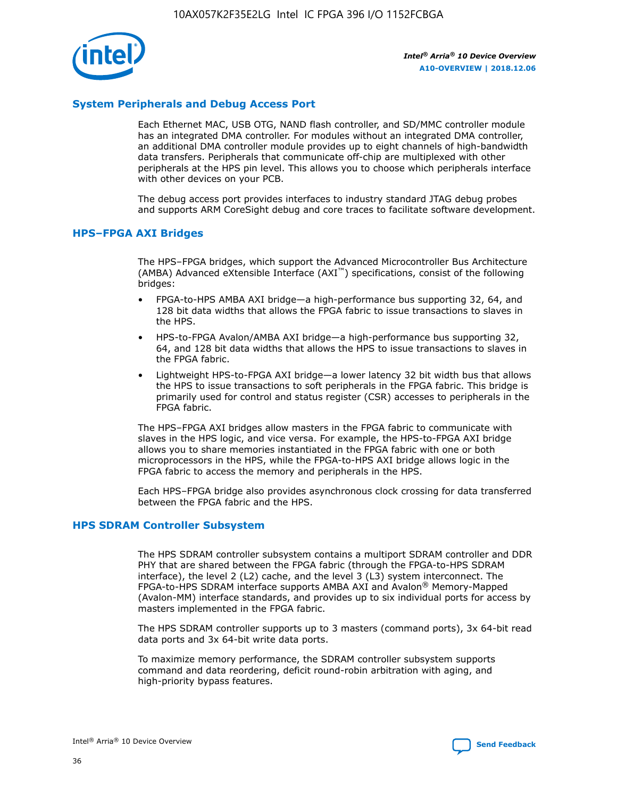

## **System Peripherals and Debug Access Port**

Each Ethernet MAC, USB OTG, NAND flash controller, and SD/MMC controller module has an integrated DMA controller. For modules without an integrated DMA controller, an additional DMA controller module provides up to eight channels of high-bandwidth data transfers. Peripherals that communicate off-chip are multiplexed with other peripherals at the HPS pin level. This allows you to choose which peripherals interface with other devices on your PCB.

The debug access port provides interfaces to industry standard JTAG debug probes and supports ARM CoreSight debug and core traces to facilitate software development.

#### **HPS–FPGA AXI Bridges**

The HPS–FPGA bridges, which support the Advanced Microcontroller Bus Architecture (AMBA) Advanced eXtensible Interface (AXI™) specifications, consist of the following bridges:

- FPGA-to-HPS AMBA AXI bridge—a high-performance bus supporting 32, 64, and 128 bit data widths that allows the FPGA fabric to issue transactions to slaves in the HPS.
- HPS-to-FPGA Avalon/AMBA AXI bridge—a high-performance bus supporting 32, 64, and 128 bit data widths that allows the HPS to issue transactions to slaves in the FPGA fabric.
- Lightweight HPS-to-FPGA AXI bridge—a lower latency 32 bit width bus that allows the HPS to issue transactions to soft peripherals in the FPGA fabric. This bridge is primarily used for control and status register (CSR) accesses to peripherals in the FPGA fabric.

The HPS–FPGA AXI bridges allow masters in the FPGA fabric to communicate with slaves in the HPS logic, and vice versa. For example, the HPS-to-FPGA AXI bridge allows you to share memories instantiated in the FPGA fabric with one or both microprocessors in the HPS, while the FPGA-to-HPS AXI bridge allows logic in the FPGA fabric to access the memory and peripherals in the HPS.

Each HPS–FPGA bridge also provides asynchronous clock crossing for data transferred between the FPGA fabric and the HPS.

#### **HPS SDRAM Controller Subsystem**

The HPS SDRAM controller subsystem contains a multiport SDRAM controller and DDR PHY that are shared between the FPGA fabric (through the FPGA-to-HPS SDRAM interface), the level 2 (L2) cache, and the level 3 (L3) system interconnect. The FPGA-to-HPS SDRAM interface supports AMBA AXI and Avalon® Memory-Mapped (Avalon-MM) interface standards, and provides up to six individual ports for access by masters implemented in the FPGA fabric.

The HPS SDRAM controller supports up to 3 masters (command ports), 3x 64-bit read data ports and 3x 64-bit write data ports.

To maximize memory performance, the SDRAM controller subsystem supports command and data reordering, deficit round-robin arbitration with aging, and high-priority bypass features.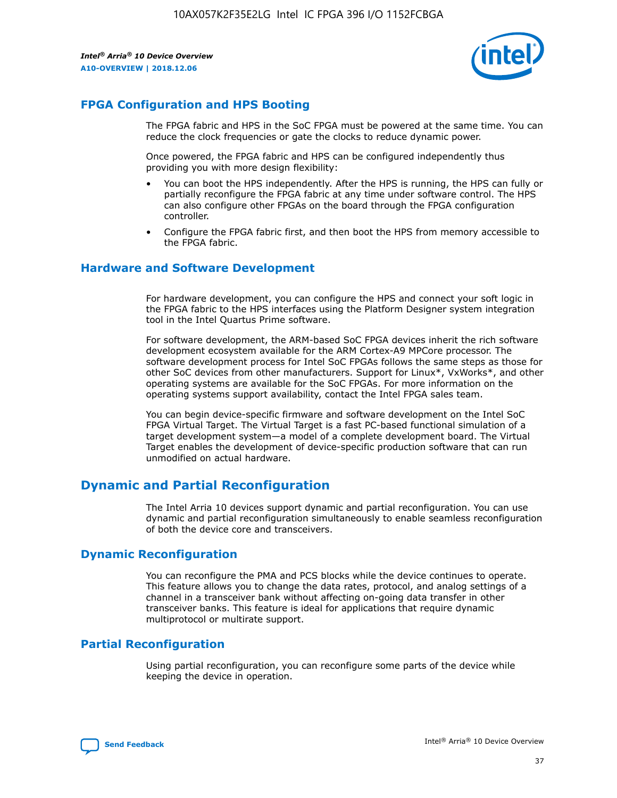

## **FPGA Configuration and HPS Booting**

The FPGA fabric and HPS in the SoC FPGA must be powered at the same time. You can reduce the clock frequencies or gate the clocks to reduce dynamic power.

Once powered, the FPGA fabric and HPS can be configured independently thus providing you with more design flexibility:

- You can boot the HPS independently. After the HPS is running, the HPS can fully or partially reconfigure the FPGA fabric at any time under software control. The HPS can also configure other FPGAs on the board through the FPGA configuration controller.
- Configure the FPGA fabric first, and then boot the HPS from memory accessible to the FPGA fabric.

## **Hardware and Software Development**

For hardware development, you can configure the HPS and connect your soft logic in the FPGA fabric to the HPS interfaces using the Platform Designer system integration tool in the Intel Quartus Prime software.

For software development, the ARM-based SoC FPGA devices inherit the rich software development ecosystem available for the ARM Cortex-A9 MPCore processor. The software development process for Intel SoC FPGAs follows the same steps as those for other SoC devices from other manufacturers. Support for Linux\*, VxWorks\*, and other operating systems are available for the SoC FPGAs. For more information on the operating systems support availability, contact the Intel FPGA sales team.

You can begin device-specific firmware and software development on the Intel SoC FPGA Virtual Target. The Virtual Target is a fast PC-based functional simulation of a target development system—a model of a complete development board. The Virtual Target enables the development of device-specific production software that can run unmodified on actual hardware.

## **Dynamic and Partial Reconfiguration**

The Intel Arria 10 devices support dynamic and partial reconfiguration. You can use dynamic and partial reconfiguration simultaneously to enable seamless reconfiguration of both the device core and transceivers.

## **Dynamic Reconfiguration**

You can reconfigure the PMA and PCS blocks while the device continues to operate. This feature allows you to change the data rates, protocol, and analog settings of a channel in a transceiver bank without affecting on-going data transfer in other transceiver banks. This feature is ideal for applications that require dynamic multiprotocol or multirate support.

## **Partial Reconfiguration**

Using partial reconfiguration, you can reconfigure some parts of the device while keeping the device in operation.

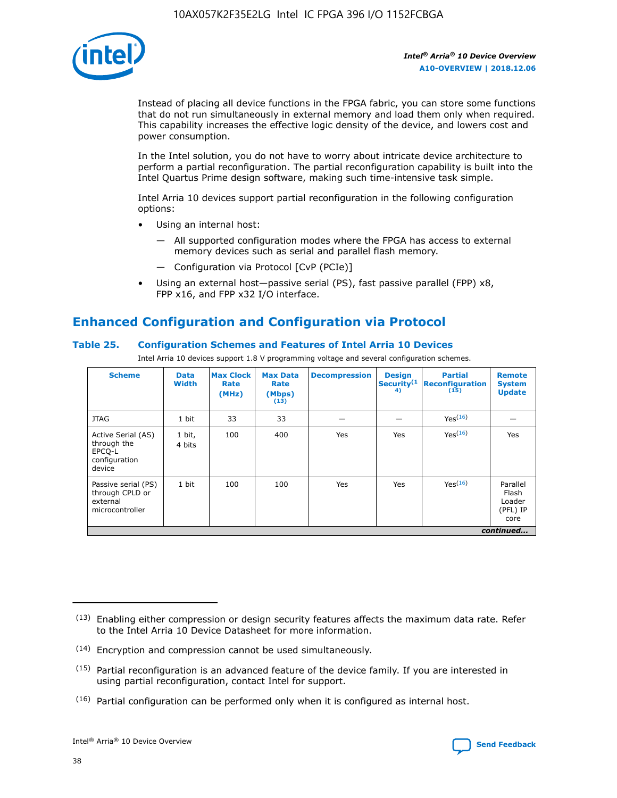

Instead of placing all device functions in the FPGA fabric, you can store some functions that do not run simultaneously in external memory and load them only when required. This capability increases the effective logic density of the device, and lowers cost and power consumption.

In the Intel solution, you do not have to worry about intricate device architecture to perform a partial reconfiguration. The partial reconfiguration capability is built into the Intel Quartus Prime design software, making such time-intensive task simple.

Intel Arria 10 devices support partial reconfiguration in the following configuration options:

- Using an internal host:
	- All supported configuration modes where the FPGA has access to external memory devices such as serial and parallel flash memory.
	- Configuration via Protocol [CvP (PCIe)]
- Using an external host—passive serial (PS), fast passive parallel (FPP) x8, FPP x16, and FPP x32 I/O interface.

## **Enhanced Configuration and Configuration via Protocol**

## **Table 25. Configuration Schemes and Features of Intel Arria 10 Devices**

Intel Arria 10 devices support 1.8 V programming voltage and several configuration schemes.

| <b>Scheme</b>                                                          | <b>Data</b><br><b>Width</b> | <b>Max Clock</b><br>Rate<br>(MHz) | <b>Max Data</b><br>Rate<br>(Mbps)<br>(13) | <b>Decompression</b> | <b>Design</b><br>Security <sup>(1</sup><br>4) | <b>Partial</b><br>Reconfiguration<br>(15) | <b>Remote</b><br><b>System</b><br><b>Update</b> |
|------------------------------------------------------------------------|-----------------------------|-----------------------------------|-------------------------------------------|----------------------|-----------------------------------------------|-------------------------------------------|-------------------------------------------------|
| <b>JTAG</b>                                                            | 1 bit                       | 33                                | 33                                        |                      |                                               | Yes(16)                                   |                                                 |
| Active Serial (AS)<br>through the<br>EPCO-L<br>configuration<br>device | 1 bit,<br>4 bits            | 100                               | 400                                       | Yes                  | Yes                                           | Yes(16)                                   | Yes                                             |
| Passive serial (PS)<br>through CPLD or<br>external<br>microcontroller  | 1 bit                       | 100                               | 100                                       | Yes                  | Yes                                           | Yes <sup>(16)</sup>                       | Parallel<br>Flash<br>Loader<br>(PFL) IP<br>core |
|                                                                        | continued                   |                                   |                                           |                      |                                               |                                           |                                                 |

<sup>(13)</sup> Enabling either compression or design security features affects the maximum data rate. Refer to the Intel Arria 10 Device Datasheet for more information.

<sup>(14)</sup> Encryption and compression cannot be used simultaneously.

 $(15)$  Partial reconfiguration is an advanced feature of the device family. If you are interested in using partial reconfiguration, contact Intel for support.

 $(16)$  Partial configuration can be performed only when it is configured as internal host.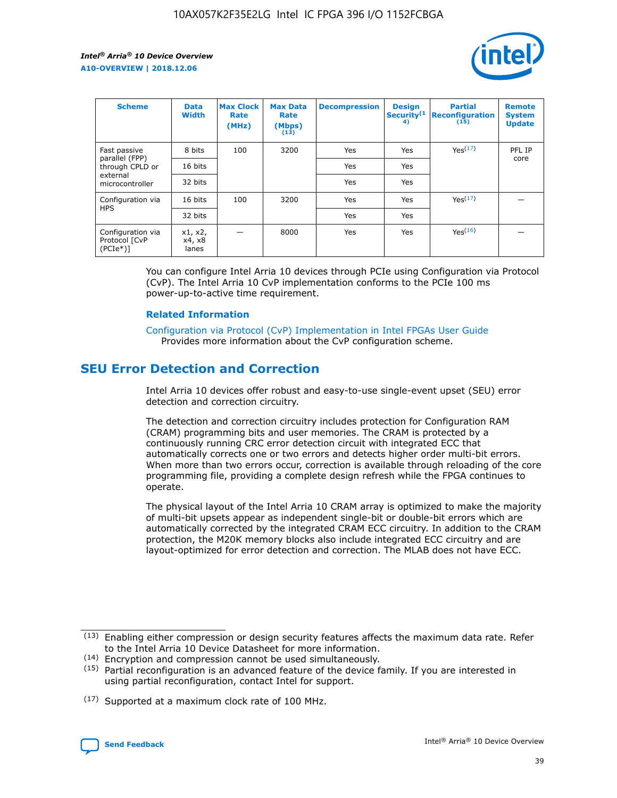

| <b>Scheme</b>                                   | <b>Data</b><br><b>Width</b> | <b>Max Clock</b><br>Rate<br>(MHz) | <b>Max Data</b><br>Rate<br>(Mbps)<br>(13) | <b>Decompression</b> | <b>Design</b><br>Security <sup>(1</sup><br>4) | <b>Partial</b><br><b>Reconfiguration</b><br>(15) | <b>Remote</b><br><b>System</b><br><b>Update</b> |
|-------------------------------------------------|-----------------------------|-----------------------------------|-------------------------------------------|----------------------|-----------------------------------------------|--------------------------------------------------|-------------------------------------------------|
| Fast passive                                    | 8 bits                      | 100                               | 3200                                      | Yes                  | Yes                                           | Yes(17)                                          | PFL IP                                          |
| parallel (FPP)<br>through CPLD or               | 16 bits                     |                                   |                                           | Yes                  | Yes                                           |                                                  | core                                            |
| external<br>microcontroller                     | 32 bits                     |                                   |                                           | Yes                  | Yes                                           |                                                  |                                                 |
| Configuration via                               | 16 bits                     | 100                               | 3200                                      | Yes                  | Yes                                           | Yes <sup>(17)</sup>                              |                                                 |
| <b>HPS</b>                                      | 32 bits                     |                                   |                                           | Yes                  | Yes                                           |                                                  |                                                 |
| Configuration via<br>Protocol [CvP<br>$(PCIe*)$ | x1, x2,<br>x4, x8<br>lanes  |                                   | 8000                                      | Yes                  | Yes                                           | Yes <sup>(16)</sup>                              |                                                 |

You can configure Intel Arria 10 devices through PCIe using Configuration via Protocol (CvP). The Intel Arria 10 CvP implementation conforms to the PCIe 100 ms power-up-to-active time requirement.

#### **Related Information**

[Configuration via Protocol \(CvP\) Implementation in Intel FPGAs User Guide](https://www.intel.com/content/www/us/en/programmable/documentation/dsu1441819344145.html#dsu1442269728522) Provides more information about the CvP configuration scheme.

## **SEU Error Detection and Correction**

Intel Arria 10 devices offer robust and easy-to-use single-event upset (SEU) error detection and correction circuitry.

The detection and correction circuitry includes protection for Configuration RAM (CRAM) programming bits and user memories. The CRAM is protected by a continuously running CRC error detection circuit with integrated ECC that automatically corrects one or two errors and detects higher order multi-bit errors. When more than two errors occur, correction is available through reloading of the core programming file, providing a complete design refresh while the FPGA continues to operate.

The physical layout of the Intel Arria 10 CRAM array is optimized to make the majority of multi-bit upsets appear as independent single-bit or double-bit errors which are automatically corrected by the integrated CRAM ECC circuitry. In addition to the CRAM protection, the M20K memory blocks also include integrated ECC circuitry and are layout-optimized for error detection and correction. The MLAB does not have ECC.

(14) Encryption and compression cannot be used simultaneously.

<sup>(17)</sup> Supported at a maximum clock rate of 100 MHz.



 $(13)$  Enabling either compression or design security features affects the maximum data rate. Refer to the Intel Arria 10 Device Datasheet for more information.

 $(15)$  Partial reconfiguration is an advanced feature of the device family. If you are interested in using partial reconfiguration, contact Intel for support.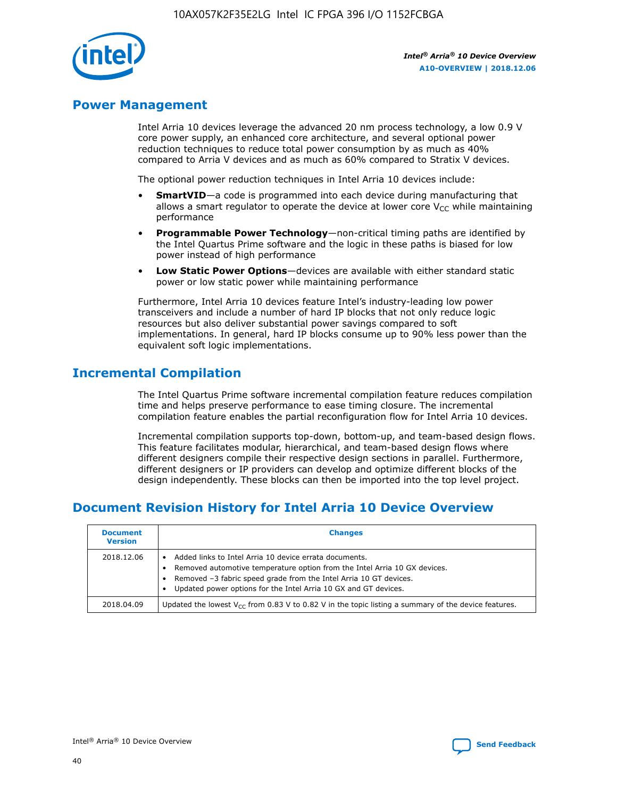

## **Power Management**

Intel Arria 10 devices leverage the advanced 20 nm process technology, a low 0.9 V core power supply, an enhanced core architecture, and several optional power reduction techniques to reduce total power consumption by as much as 40% compared to Arria V devices and as much as 60% compared to Stratix V devices.

The optional power reduction techniques in Intel Arria 10 devices include:

- **SmartVID**—a code is programmed into each device during manufacturing that allows a smart regulator to operate the device at lower core  $V_{CC}$  while maintaining performance
- **Programmable Power Technology**—non-critical timing paths are identified by the Intel Quartus Prime software and the logic in these paths is biased for low power instead of high performance
- **Low Static Power Options**—devices are available with either standard static power or low static power while maintaining performance

Furthermore, Intel Arria 10 devices feature Intel's industry-leading low power transceivers and include a number of hard IP blocks that not only reduce logic resources but also deliver substantial power savings compared to soft implementations. In general, hard IP blocks consume up to 90% less power than the equivalent soft logic implementations.

## **Incremental Compilation**

The Intel Quartus Prime software incremental compilation feature reduces compilation time and helps preserve performance to ease timing closure. The incremental compilation feature enables the partial reconfiguration flow for Intel Arria 10 devices.

Incremental compilation supports top-down, bottom-up, and team-based design flows. This feature facilitates modular, hierarchical, and team-based design flows where different designers compile their respective design sections in parallel. Furthermore, different designers or IP providers can develop and optimize different blocks of the design independently. These blocks can then be imported into the top level project.

## **Document Revision History for Intel Arria 10 Device Overview**

| <b>Document</b><br><b>Version</b> | <b>Changes</b>                                                                                                                                                                                                                                                              |
|-----------------------------------|-----------------------------------------------------------------------------------------------------------------------------------------------------------------------------------------------------------------------------------------------------------------------------|
| 2018.12.06                        | Added links to Intel Arria 10 device errata documents.<br>Removed automotive temperature option from the Intel Arria 10 GX devices.<br>Removed -3 fabric speed grade from the Intel Arria 10 GT devices.<br>Updated power options for the Intel Arria 10 GX and GT devices. |
| 2018.04.09                        | Updated the lowest $V_{CC}$ from 0.83 V to 0.82 V in the topic listing a summary of the device features.                                                                                                                                                                    |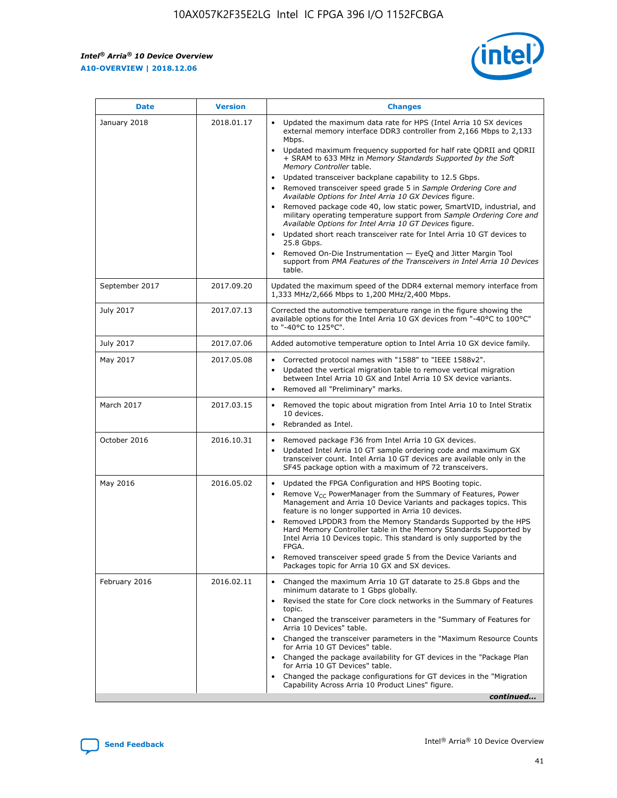*Intel® Arria® 10 Device Overview* **A10-OVERVIEW | 2018.12.06**



| <b>Date</b>    | <b>Version</b> | <b>Changes</b>                                                                                                                                                                                                                                                                                                                                                                                                                                                                                                                                                                                                                                                                                                                                                                                                                                                                                                                                                            |
|----------------|----------------|---------------------------------------------------------------------------------------------------------------------------------------------------------------------------------------------------------------------------------------------------------------------------------------------------------------------------------------------------------------------------------------------------------------------------------------------------------------------------------------------------------------------------------------------------------------------------------------------------------------------------------------------------------------------------------------------------------------------------------------------------------------------------------------------------------------------------------------------------------------------------------------------------------------------------------------------------------------------------|
| January 2018   | 2018.01.17     | Updated the maximum data rate for HPS (Intel Arria 10 SX devices<br>external memory interface DDR3 controller from 2,166 Mbps to 2,133<br>Mbps.<br>Updated maximum frequency supported for half rate QDRII and QDRII<br>+ SRAM to 633 MHz in Memory Standards Supported by the Soft<br>Memory Controller table.<br>Updated transceiver backplane capability to 12.5 Gbps.<br>$\bullet$<br>Removed transceiver speed grade 5 in Sample Ordering Core and<br>Available Options for Intel Arria 10 GX Devices figure.<br>Removed package code 40, low static power, SmartVID, industrial, and<br>military operating temperature support from Sample Ordering Core and<br>Available Options for Intel Arria 10 GT Devices figure.<br>Updated short reach transceiver rate for Intel Arria 10 GT devices to<br>25.8 Gbps.<br>Removed On-Die Instrumentation - EyeQ and Jitter Margin Tool<br>support from PMA Features of the Transceivers in Intel Arria 10 Devices<br>table. |
| September 2017 | 2017.09.20     | Updated the maximum speed of the DDR4 external memory interface from<br>1,333 MHz/2,666 Mbps to 1,200 MHz/2,400 Mbps.                                                                                                                                                                                                                                                                                                                                                                                                                                                                                                                                                                                                                                                                                                                                                                                                                                                     |
| July 2017      | 2017.07.13     | Corrected the automotive temperature range in the figure showing the<br>available options for the Intel Arria 10 GX devices from "-40°C to 100°C"<br>to "-40°C to 125°C".                                                                                                                                                                                                                                                                                                                                                                                                                                                                                                                                                                                                                                                                                                                                                                                                 |
| July 2017      | 2017.07.06     | Added automotive temperature option to Intel Arria 10 GX device family.                                                                                                                                                                                                                                                                                                                                                                                                                                                                                                                                                                                                                                                                                                                                                                                                                                                                                                   |
| May 2017       | 2017.05.08     | Corrected protocol names with "1588" to "IEEE 1588v2".<br>$\bullet$<br>Updated the vertical migration table to remove vertical migration<br>$\bullet$<br>between Intel Arria 10 GX and Intel Arria 10 SX device variants.<br>Removed all "Preliminary" marks.<br>$\bullet$                                                                                                                                                                                                                                                                                                                                                                                                                                                                                                                                                                                                                                                                                                |
| March 2017     | 2017.03.15     | Removed the topic about migration from Intel Arria 10 to Intel Stratix<br>10 devices.<br>Rebranded as Intel.<br>$\bullet$                                                                                                                                                                                                                                                                                                                                                                                                                                                                                                                                                                                                                                                                                                                                                                                                                                                 |
| October 2016   | 2016.10.31     | Removed package F36 from Intel Arria 10 GX devices.<br>Updated Intel Arria 10 GT sample ordering code and maximum GX<br>$\bullet$<br>transceiver count. Intel Arria 10 GT devices are available only in the<br>SF45 package option with a maximum of 72 transceivers.                                                                                                                                                                                                                                                                                                                                                                                                                                                                                                                                                                                                                                                                                                     |
| May 2016       | 2016.05.02     | Updated the FPGA Configuration and HPS Booting topic.<br>$\bullet$<br>Remove V <sub>CC</sub> PowerManager from the Summary of Features, Power<br>Management and Arria 10 Device Variants and packages topics. This<br>feature is no longer supported in Arria 10 devices.<br>Removed LPDDR3 from the Memory Standards Supported by the HPS<br>Hard Memory Controller table in the Memory Standards Supported by<br>Intel Arria 10 Devices topic. This standard is only supported by the<br>FPGA.<br>Removed transceiver speed grade 5 from the Device Variants and<br>Packages topic for Arria 10 GX and SX devices.                                                                                                                                                                                                                                                                                                                                                      |
| February 2016  | 2016.02.11     | Changed the maximum Arria 10 GT datarate to 25.8 Gbps and the<br>minimum datarate to 1 Gbps globally.<br>Revised the state for Core clock networks in the Summary of Features<br>$\bullet$<br>topic.<br>Changed the transceiver parameters in the "Summary of Features for<br>$\bullet$<br>Arria 10 Devices" table.<br>• Changed the transceiver parameters in the "Maximum Resource Counts<br>for Arria 10 GT Devices" table.<br>Changed the package availability for GT devices in the "Package Plan<br>for Arria 10 GT Devices" table.<br>Changed the package configurations for GT devices in the "Migration"<br>Capability Across Arria 10 Product Lines" figure.<br>continued                                                                                                                                                                                                                                                                                       |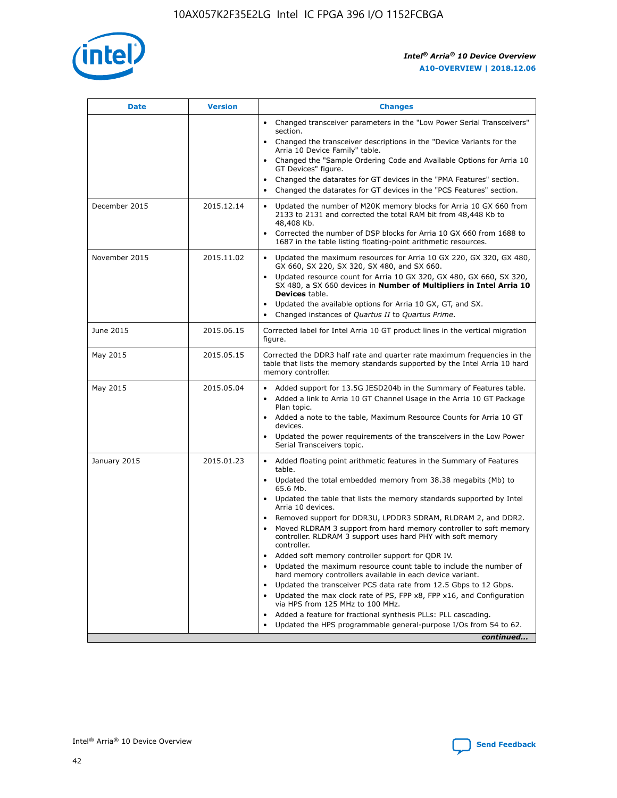

| <b>Date</b>   | <b>Version</b> | <b>Changes</b>                                                                                                                                                                   |
|---------------|----------------|----------------------------------------------------------------------------------------------------------------------------------------------------------------------------------|
|               |                | • Changed transceiver parameters in the "Low Power Serial Transceivers"<br>section.                                                                                              |
|               |                | • Changed the transceiver descriptions in the "Device Variants for the<br>Arria 10 Device Family" table.                                                                         |
|               |                | Changed the "Sample Ordering Code and Available Options for Arria 10<br>GT Devices" figure.                                                                                      |
|               |                | Changed the datarates for GT devices in the "PMA Features" section.                                                                                                              |
|               |                | Changed the datarates for GT devices in the "PCS Features" section.<br>$\bullet$                                                                                                 |
| December 2015 | 2015.12.14     | Updated the number of M20K memory blocks for Arria 10 GX 660 from<br>$\bullet$<br>2133 to 2131 and corrected the total RAM bit from 48,448 Kb to<br>48,408 Kb.                   |
|               |                | Corrected the number of DSP blocks for Arria 10 GX 660 from 1688 to<br>$\bullet$<br>1687 in the table listing floating-point arithmetic resources.                               |
| November 2015 | 2015.11.02     | Updated the maximum resources for Arria 10 GX 220, GX 320, GX 480,<br>$\bullet$<br>GX 660, SX 220, SX 320, SX 480, and SX 660.                                                   |
|               |                | Updated resource count for Arria 10 GX 320, GX 480, GX 660, SX 320,<br>$\bullet$<br>SX 480, a SX 660 devices in Number of Multipliers in Intel Arria 10<br><b>Devices</b> table. |
|               |                | Updated the available options for Arria 10 GX, GT, and SX.<br>$\bullet$                                                                                                          |
|               |                | Changed instances of Quartus II to Quartus Prime.<br>$\bullet$                                                                                                                   |
| June 2015     | 2015.06.15     | Corrected label for Intel Arria 10 GT product lines in the vertical migration<br>figure.                                                                                         |
| May 2015      | 2015.05.15     | Corrected the DDR3 half rate and quarter rate maximum frequencies in the<br>table that lists the memory standards supported by the Intel Arria 10 hard<br>memory controller.     |
| May 2015      | 2015.05.04     | • Added support for 13.5G JESD204b in the Summary of Features table.<br>• Added a link to Arria 10 GT Channel Usage in the Arria 10 GT Package<br>Plan topic.                    |
|               |                | • Added a note to the table, Maximum Resource Counts for Arria 10 GT<br>devices.                                                                                                 |
|               |                | Updated the power requirements of the transceivers in the Low Power<br>Serial Transceivers topic.                                                                                |
| January 2015  | 2015.01.23     | • Added floating point arithmetic features in the Summary of Features<br>table.                                                                                                  |
|               |                | • Updated the total embedded memory from 38.38 megabits (Mb) to<br>65.6 Mb.                                                                                                      |
|               |                | • Updated the table that lists the memory standards supported by Intel<br>Arria 10 devices.                                                                                      |
|               |                | Removed support for DDR3U, LPDDR3 SDRAM, RLDRAM 2, and DDR2.<br>Moved RLDRAM 3 support from hard memory controller to soft memory                                                |
|               |                | controller. RLDRAM 3 support uses hard PHY with soft memory<br>controller.                                                                                                       |
|               |                | Added soft memory controller support for QDR IV.                                                                                                                                 |
|               |                | Updated the maximum resource count table to include the number of<br>hard memory controllers available in each device variant.                                                   |
|               |                | Updated the transceiver PCS data rate from 12.5 Gbps to 12 Gbps.<br>$\bullet$                                                                                                    |
|               |                | Updated the max clock rate of PS, FPP x8, FPP x16, and Configuration<br>via HPS from 125 MHz to 100 MHz.                                                                         |
|               |                | Added a feature for fractional synthesis PLLs: PLL cascading.                                                                                                                    |
|               |                | Updated the HPS programmable general-purpose I/Os from 54 to 62.<br>$\bullet$                                                                                                    |
|               |                | continued                                                                                                                                                                        |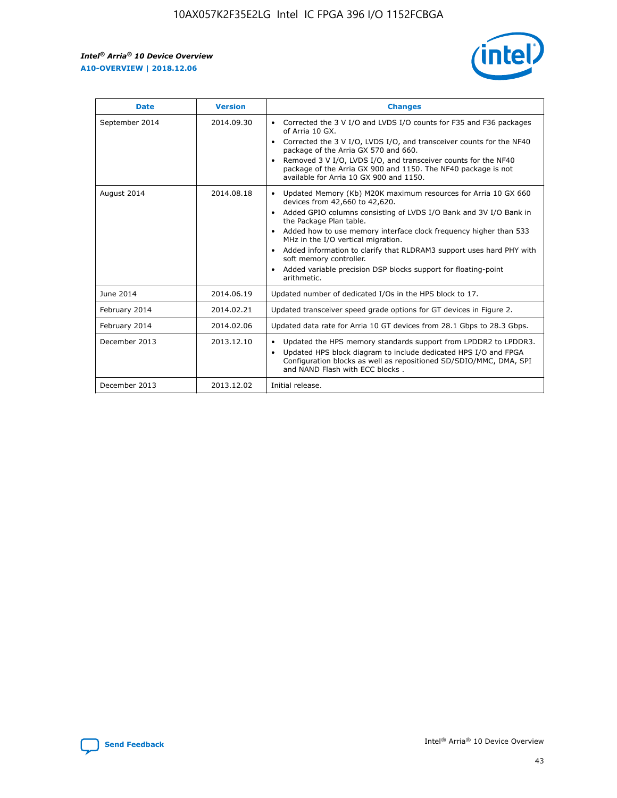r



| <b>Date</b>    | <b>Version</b> | <b>Changes</b>                                                                                                                                                                                                                                                                                                                                                                                                                                                                                                                                      |
|----------------|----------------|-----------------------------------------------------------------------------------------------------------------------------------------------------------------------------------------------------------------------------------------------------------------------------------------------------------------------------------------------------------------------------------------------------------------------------------------------------------------------------------------------------------------------------------------------------|
| September 2014 | 2014.09.30     | Corrected the 3 V I/O and LVDS I/O counts for F35 and F36 packages<br>$\bullet$<br>of Arria 10 GX.<br>Corrected the 3 V I/O, LVDS I/O, and transceiver counts for the NF40<br>$\bullet$<br>package of the Arria GX 570 and 660.<br>Removed 3 V I/O, LVDS I/O, and transceiver counts for the NF40<br>$\bullet$<br>package of the Arria GX 900 and 1150. The NF40 package is not<br>available for Arria 10 GX 900 and 1150.                                                                                                                          |
| August 2014    | 2014.08.18     | Updated Memory (Kb) M20K maximum resources for Arria 10 GX 660<br>devices from 42,660 to 42,620.<br>Added GPIO columns consisting of LVDS I/O Bank and 3V I/O Bank in<br>$\bullet$<br>the Package Plan table.<br>Added how to use memory interface clock frequency higher than 533<br>$\bullet$<br>MHz in the I/O vertical migration.<br>Added information to clarify that RLDRAM3 support uses hard PHY with<br>$\bullet$<br>soft memory controller.<br>Added variable precision DSP blocks support for floating-point<br>$\bullet$<br>arithmetic. |
| June 2014      | 2014.06.19     | Updated number of dedicated I/Os in the HPS block to 17.                                                                                                                                                                                                                                                                                                                                                                                                                                                                                            |
| February 2014  | 2014.02.21     | Updated transceiver speed grade options for GT devices in Figure 2.                                                                                                                                                                                                                                                                                                                                                                                                                                                                                 |
| February 2014  | 2014.02.06     | Updated data rate for Arria 10 GT devices from 28.1 Gbps to 28.3 Gbps.                                                                                                                                                                                                                                                                                                                                                                                                                                                                              |
| December 2013  | 2013.12.10     | Updated the HPS memory standards support from LPDDR2 to LPDDR3.<br>Updated HPS block diagram to include dedicated HPS I/O and FPGA<br>$\bullet$<br>Configuration blocks as well as repositioned SD/SDIO/MMC, DMA, SPI<br>and NAND Flash with ECC blocks.                                                                                                                                                                                                                                                                                            |
| December 2013  | 2013.12.02     | Initial release.                                                                                                                                                                                                                                                                                                                                                                                                                                                                                                                                    |